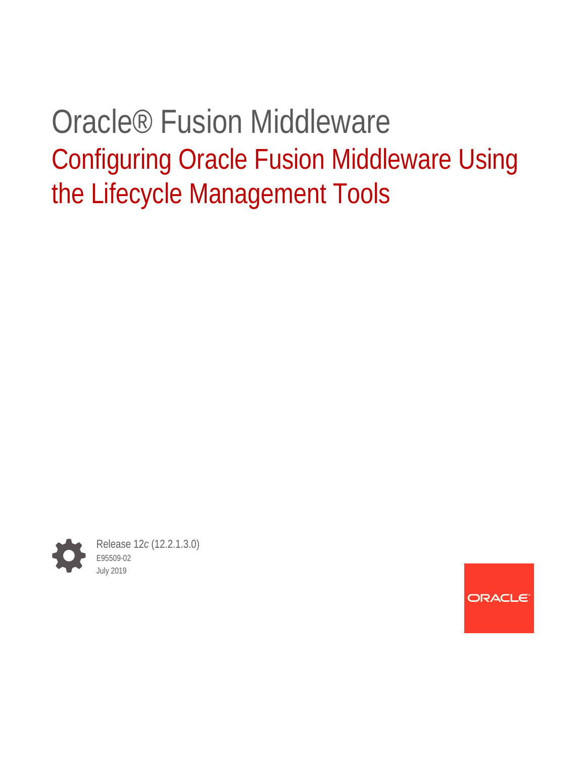# Oracle® Fusion Middleware Configuring Oracle Fusion Middleware Using the Lifecycle Management Tools



Release 12*c* (12.2.1.3.0) E95509-02 July 2019

ORACLE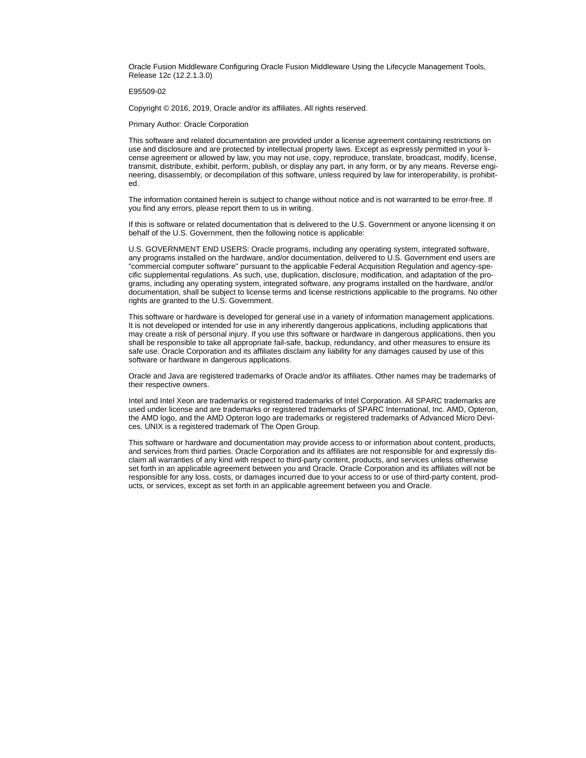Oracle Fusion Middleware Configuring Oracle Fusion Middleware Using the Lifecycle Management Tools, Release 12*c* (12.2.1.3.0)

#### E95509-02

Copyright © 2016, 2019, Oracle and/or its affiliates. All rights reserved.

Primary Author: Oracle Corporation

This software and related documentation are provided under a license agreement containing restrictions on use and disclosure and are protected by intellectual property laws. Except as expressly permitted in your license agreement or allowed by law, you may not use, copy, reproduce, translate, broadcast, modify, license, transmit, distribute, exhibit, perform, publish, or display any part, in any form, or by any means. Reverse engi‐ neering, disassembly, or decompilation of this software, unless required by law for interoperability, is prohibited.

The information contained herein is subject to change without notice and is not warranted to be error-free. If you find any errors, please report them to us in writing.

If this is software or related documentation that is delivered to the U.S. Government or anyone licensing it on behalf of the U.S. Government, then the following notice is applicable:

U.S. GOVERNMENT END USERS: Oracle programs, including any operating system, integrated software, any programs installed on the hardware, and/or documentation, delivered to U.S. Government end users are "commercial computer software" pursuant to the applicable Federal Acquisition Regulation and agency-spe‐ cific supplemental regulations. As such, use, duplication, disclosure, modification, and adaptation of the pro‐ grams, including any operating system, integrated software, any programs installed on the hardware, and/or documentation, shall be subject to license terms and license restrictions applicable to the programs. No other rights are granted to the U.S. Government.

This software or hardware is developed for general use in a variety of information management applications. It is not developed or intended for use in any inherently dangerous applications, including applications that may create a risk of personal injury. If you use this software or hardware in dangerous applications, then you shall be responsible to take all appropriate fail-safe, backup, redundancy, and other measures to ensure its safe use. Oracle Corporation and its affiliates disclaim any liability for any damages caused by use of this software or hardware in dangerous applications.

Oracle and Java are registered trademarks of Oracle and/or its affiliates. Other names may be trademarks of their respective owners.

Intel and Intel Xeon are trademarks or registered trademarks of Intel Corporation. All SPARC trademarks are used under license and are trademarks or registered trademarks of SPARC International, Inc. AMD, Opteron, the AMD logo, and the AMD Opteron logo are trademarks or registered trademarks of Advanced Micro Devices. UNIX is a registered trademark of The Open Group.

This software or hardware and documentation may provide access to or information about content, products, and services from third parties. Oracle Corporation and its affiliates are not responsible for and expressly dis‐ claim all warranties of any kind with respect to third-party content, products, and services unless otherwise set forth in an applicable agreement between you and Oracle. Oracle Corporation and its affiliates will not be responsible for any loss, costs, or damages incurred due to your access to or use of third-party content, prod‐ ucts, or services, except as set forth in an applicable agreement between you and Oracle.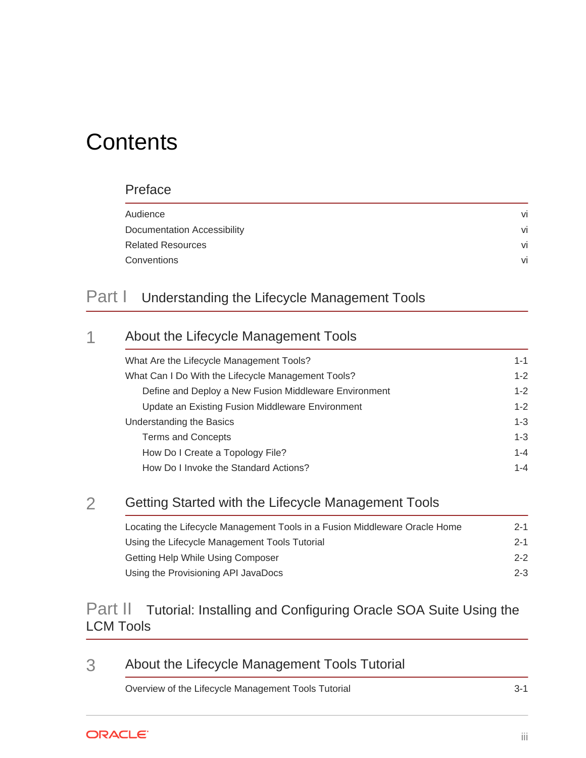# **Contents**

#### [Preface](#page-5-0)

| Audience                    | vi |
|-----------------------------|----|
| Documentation Accessibility | vi |
| <b>Related Resources</b>    | vi |
| Conventions                 | vi |
|                             |    |

#### Part | [Understanding the Lifecycle Management Tools](#page-7-0)

# 1 [About the Lifecycle Management Tools](#page-8-0)

| What Are the Lifecycle Management Tools?              | $1 - 1$ |
|-------------------------------------------------------|---------|
| What Can I Do With the Lifecycle Management Tools?    | $1 - 2$ |
| Define and Deploy a New Fusion Middleware Environment | $1 - 2$ |
| Update an Existing Fusion Middleware Environment      | $1 - 2$ |
| Understanding the Basics                              | $1 - 3$ |
| <b>Terms and Concepts</b>                             | $1 - 3$ |
| How Do I Create a Topology File?                      | $1 - 4$ |
| How Do I Invoke the Standard Actions?                 | $1 - 4$ |

#### 2 [Getting Started with the Lifecycle Management Tools](#page-13-0)

| Locating the Lifecycle Management Tools in a Fusion Middleware Oracle Home | $2 - 1$ |
|----------------------------------------------------------------------------|---------|
| Using the Lifecycle Management Tools Tutorial                              | $2 - 1$ |
| Getting Help While Using Composer                                          | $2 - 2$ |
| Using the Provisioning API JavaDocs                                        | $2 - 3$ |

#### Part II [Tutorial: Installing and Configuring Oracle SOA Suite Using the](#page-16-0) [LCM Tools](#page-16-0)

#### 3 [About the Lifecycle Management Tools Tutorial](#page-17-0)

[Overview of the Lifecycle Management Tools Tutorial 3-1](#page-17-0)

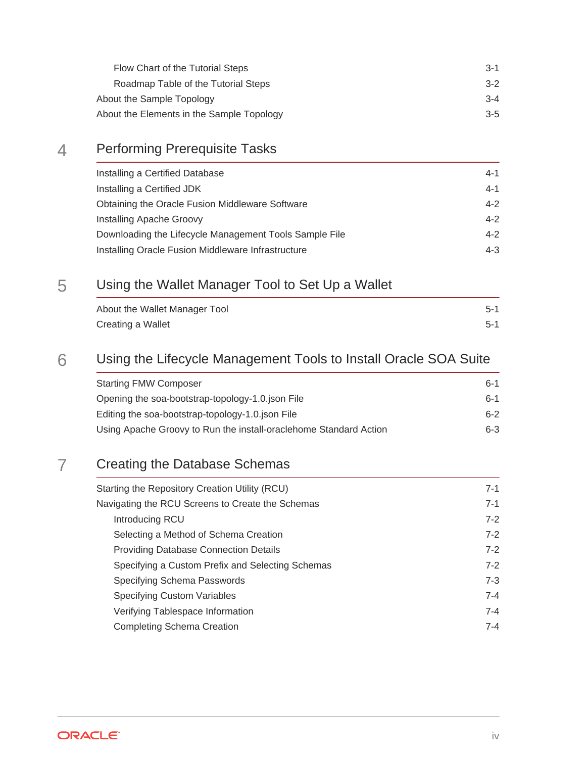| $3-1$   |
|---------|
| $3-2$   |
| $3 - 4$ |
| $3-5$   |
|         |

#### 4 [Performing Prerequisite Tasks](#page-23-0)

| Installing a Certified Database                        | 4-1     |
|--------------------------------------------------------|---------|
| Installing a Certified JDK                             | 4-1     |
| Obtaining the Oracle Fusion Middleware Software        | $4 - 2$ |
| Installing Apache Groovy                               | $4 - 2$ |
| Downloading the Lifecycle Management Tools Sample File | $4 - 2$ |
| Installing Oracle Fusion Middleware Infrastructure     | $4 - 3$ |

#### 5 [Using the Wallet Manager Tool to Set Up a Wallet](#page-26-0)

| About the Wallet Manager Tool | $5-1$ |
|-------------------------------|-------|
| Creating a Wallet             | $5-1$ |

#### 6 [Using the Lifecycle Management Tools to Install Oracle SOA Suite](#page-30-0)

| <b>Starting FMW Composer</b>                                      | հ-1     |
|-------------------------------------------------------------------|---------|
| Opening the soa-bootstrap-topology-1.0 json File                  | հ-1     |
| Editing the soa-bootstrap-topology-1.0.json File                  | $6-2$   |
| Using Apache Groovy to Run the install-oraclehome Standard Action | $6 - 3$ |

#### 7 [Creating the Database Schemas](#page-34-0)

| Starting the Repository Creation Utility (RCU)   | $7 - 1$ |
|--------------------------------------------------|---------|
| Navigating the RCU Screens to Create the Schemas | $7 - 1$ |
| Introducing RCU                                  | $7-2$   |
| Selecting a Method of Schema Creation            | $7-2$   |
| <b>Providing Database Connection Details</b>     | $7-2$   |
| Specifying a Custom Prefix and Selecting Schemas | $7-2$   |
| Specifying Schema Passwords                      | $7 - 3$ |
| <b>Specifying Custom Variables</b>               | $7 - 4$ |
| Verifying Tablespace Information                 | $7 - 4$ |
| <b>Completing Schema Creation</b>                | $7 - 4$ |
|                                                  |         |

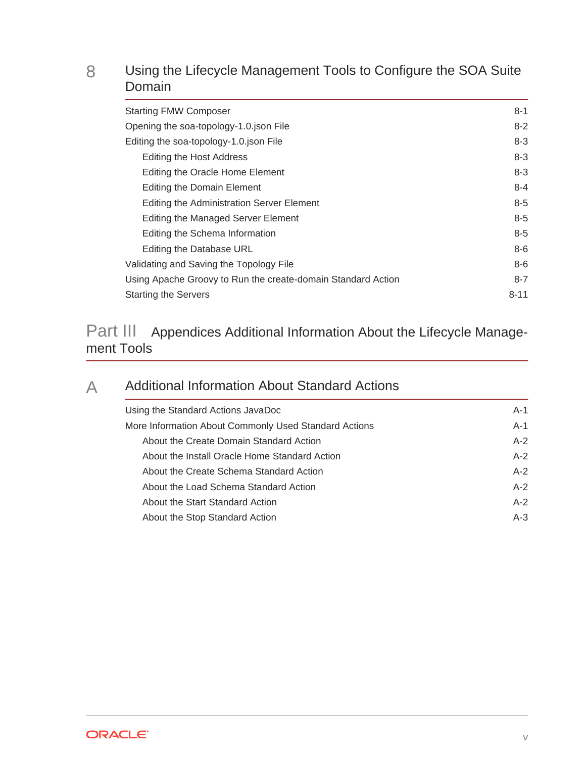#### 8 [Using the Lifecycle Management Tools to Configure the SOA Suite](#page-38-0) [Domain](#page-38-0)

| <b>Starting FMW Composer</b>                                 | $8 - 1$  |
|--------------------------------------------------------------|----------|
| Opening the soa-topology-1.0 json File                       | $8-2$    |
| Editing the soa-topology-1.0.json File                       | $8 - 3$  |
| Editing the Host Address                                     | $8 - 3$  |
| Editing the Oracle Home Element                              | $8 - 3$  |
| Editing the Domain Element                                   | $8 - 4$  |
| Editing the Administration Server Element                    | $8 - 5$  |
| Editing the Managed Server Element                           | $8 - 5$  |
| Editing the Schema Information                               | $8 - 5$  |
| Editing the Database URL                                     | $8-6$    |
| Validating and Saving the Topology File                      | $8-6$    |
| Using Apache Groovy to Run the create-domain Standard Action | $8 - 7$  |
| <b>Starting the Servers</b>                                  | $8 - 11$ |
|                                                              |          |

#### Part III [Appendices Additional Information About the Lifecycle Manage‐](#page-49-0) [ment Tools](#page-49-0)

#### A [Additional Information About Standard Actions](#page-50-0)

| Using the Standard Actions JavaDoc                    | $A-1$ |
|-------------------------------------------------------|-------|
| More Information About Commonly Used Standard Actions | $A-1$ |
| About the Create Domain Standard Action               | $A-2$ |
| About the Install Oracle Home Standard Action         | $A-2$ |
| About the Create Schema Standard Action               | $A-2$ |
| About the Load Schema Standard Action                 | $A-2$ |
| About the Start Standard Action                       | $A-2$ |
| About the Stop Standard Action                        | $A-3$ |
|                                                       |       |

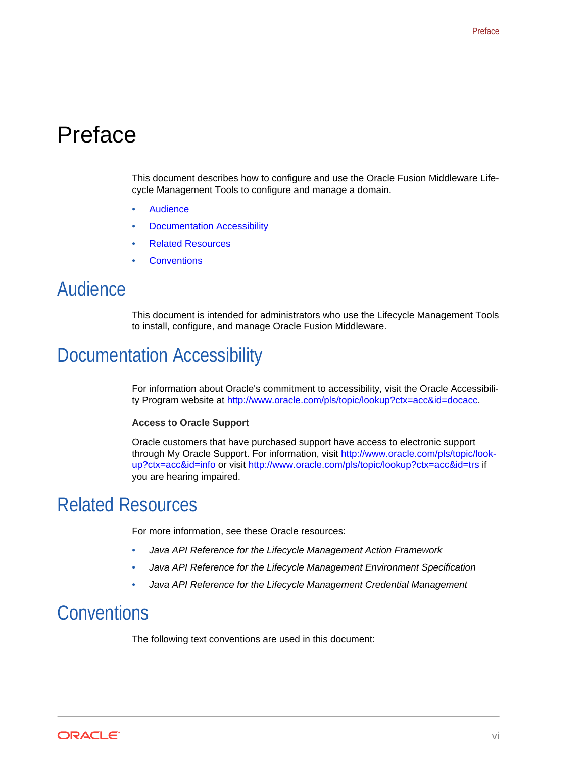# <span id="page-5-0"></span>Preface

This document describes how to configure and use the Oracle Fusion Middleware Life‐ cycle Management Tools to configure and manage a domain.

- **Audience**
- Documentation Accessibility
- Related Resources
- **Conventions**

### Audience

This document is intended for administrators who use the Lifecycle Management Tools to install, configure, and manage Oracle Fusion Middleware.

## Documentation Accessibility

For information about Oracle's commitment to accessibility, visit the Oracle Accessibility Program website at<http://www.oracle.com/pls/topic/lookup?ctx=acc&id=docacc>.

#### **Access to Oracle Support**

Oracle customers that have purchased support have access to electronic support through My Oracle Support. For information, visit [http://www.oracle.com/pls/topic/look‐](http://www.oracle.com/pls/topic/lookup?ctx=acc&id=info) [up?ctx=acc&id=info](http://www.oracle.com/pls/topic/lookup?ctx=acc&id=info) or visit <http://www.oracle.com/pls/topic/lookup?ctx=acc&id=trs>if you are hearing impaired.

## Related Resources

For more information, see these Oracle resources:

- *Java API Reference for the Lifecycle Management Action Framework*
- *Java API Reference for the Lifecycle Management Environment Specification*
- *Java API Reference for the Lifecycle Management Credential Management*

## **Conventions**

The following text conventions are used in this document:

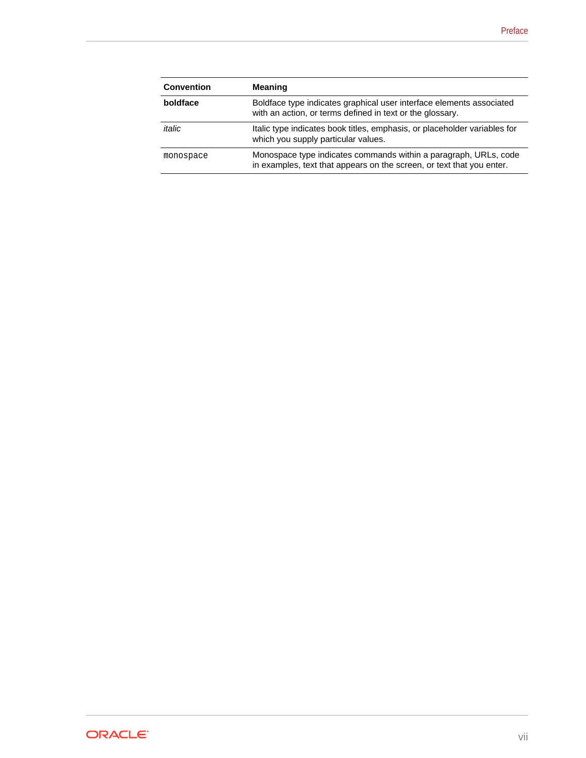| <b>Convention</b> | <b>Meaning</b>                                                                                                                            |
|-------------------|-------------------------------------------------------------------------------------------------------------------------------------------|
| boldface          | Boldface type indicates graphical user interface elements associated<br>with an action, or terms defined in text or the glossary.         |
| italic            | Italic type indicates book titles, emphasis, or placeholder variables for<br>which you supply particular values.                          |
| monospace         | Monospace type indicates commands within a paragraph, URLs, code<br>in examples, text that appears on the screen, or text that you enter. |

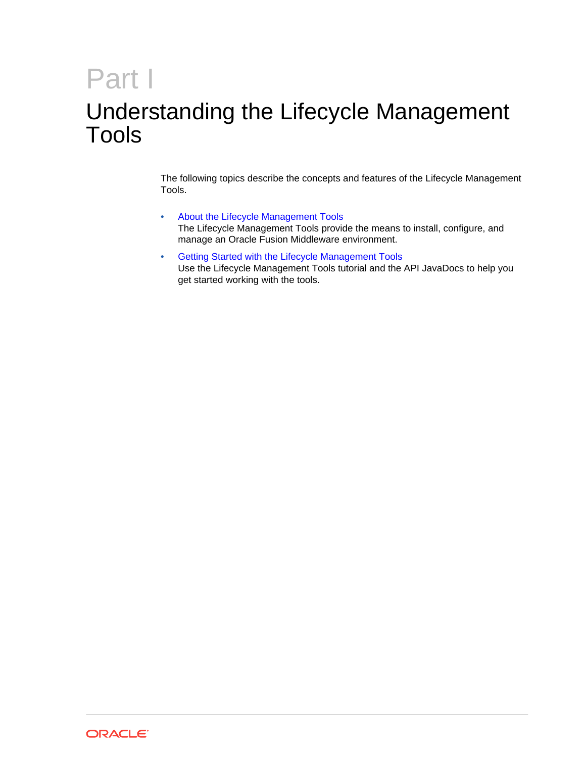# <span id="page-7-0"></span>Part I Understanding the Lifecycle Management Tools

The following topics describe the concepts and features of the Lifecycle Management Tools.

- [About the Lifecycle Management Tools](#page-8-0) The Lifecycle Management Tools provide the means to install, configure, and manage an Oracle Fusion Middleware environment.
- [Getting Started with the Lifecycle Management Tools](#page-13-0) Use the Lifecycle Management Tools tutorial and the API JavaDocs to help you get started working with the tools.

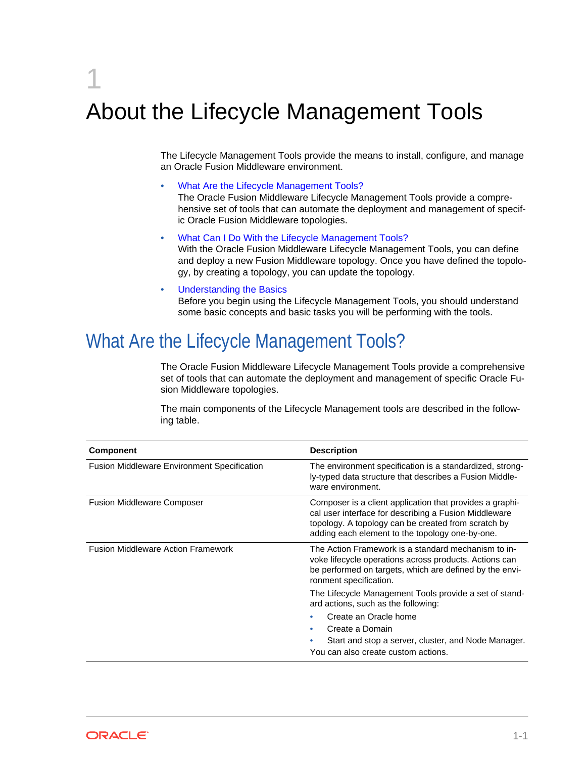# <span id="page-8-0"></span>1 About the Lifecycle Management Tools

The Lifecycle Management Tools provide the means to install, configure, and manage an Oracle Fusion Middleware environment.

- What Are the Lifecycle Management Tools? The Oracle Fusion Middleware Lifecycle Management Tools provide a compre‐ hensive set of tools that can automate the deployment and management of specific Oracle Fusion Middleware topologies.
- [What Can I Do With the Lifecycle Management Tools?](#page-9-0) With the Oracle Fusion Middleware Lifecycle Management Tools, you can define and deploy a new Fusion Middleware topology. Once you have defined the topolo‐ gy, by creating a topology, you can update the topology.
- [Understanding the Basics](#page-10-0) Before you begin using the Lifecycle Management Tools, you should understand some basic concepts and basic tasks you will be performing with the tools.

# What Are the Lifecycle Management Tools?

The Oracle Fusion Middleware Lifecycle Management Tools provide a comprehensive set of tools that can automate the deployment and management of specific Oracle Fu‐ sion Middleware topologies.

The main components of the Lifecycle Management tools are described in the follow‐ ing table.

| Component                                          | <b>Description</b>                                                                                                                                                                                                          |
|----------------------------------------------------|-----------------------------------------------------------------------------------------------------------------------------------------------------------------------------------------------------------------------------|
| <b>Fusion Middleware Environment Specification</b> | The environment specification is a standardized, strong-<br>ly-typed data structure that describes a Fusion Middle-<br>ware environment.                                                                                    |
| <b>Fusion Middleware Composer</b>                  | Composer is a client application that provides a graphi-<br>cal user interface for describing a Fusion Middleware<br>topology. A topology can be created from scratch by<br>adding each element to the topology one-by-one. |
| <b>Fusion Middleware Action Framework</b>          | The Action Framework is a standard mechanism to in-<br>voke lifecycle operations across products. Actions can<br>be performed on targets, which are defined by the envi-<br>ronment specification.                          |
|                                                    | The Lifecycle Management Tools provide a set of stand-<br>ard actions, such as the following:                                                                                                                               |
|                                                    | Create an Oracle home<br>Create a Domain<br>Start and stop a server, cluster, and Node Manager.<br>You can also create custom actions.                                                                                      |

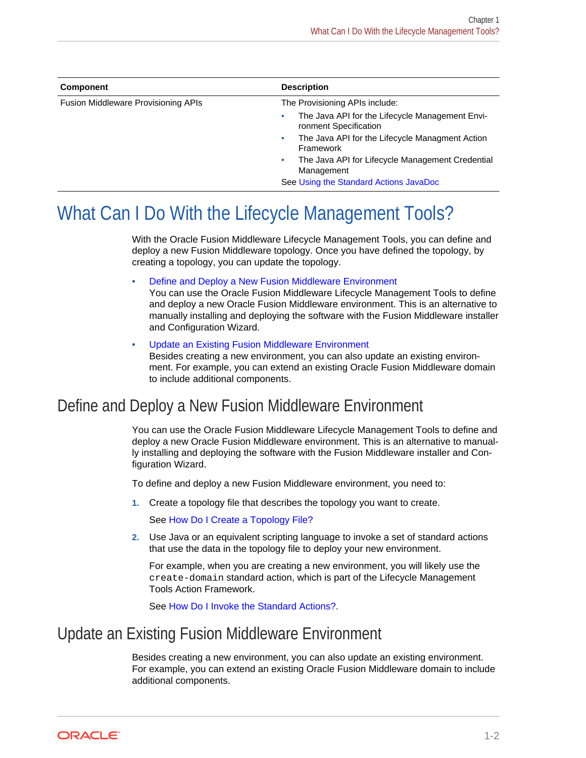<span id="page-9-0"></span>

| Component                           | <b>Description</b>                                                                                                                                                                                                                                                  |  |
|-------------------------------------|---------------------------------------------------------------------------------------------------------------------------------------------------------------------------------------------------------------------------------------------------------------------|--|
| Fusion Middleware Provisioning APIs | The Provisioning APIs include:                                                                                                                                                                                                                                      |  |
|                                     | The Java API for the Lifecycle Management Envi-<br>۰<br>ronment Specification<br>The Java API for the Lifecycle Managment Action<br>۰<br>Framework<br>The Java API for Lifecycle Management Credential<br>۰<br>Management<br>See Using the Standard Actions JavaDoc |  |

# What Can I Do With the Lifecycle Management Tools?

With the Oracle Fusion Middleware Lifecycle Management Tools, you can define and deploy a new Fusion Middleware topology. Once you have defined the topology, by creating a topology, you can update the topology.

• Define and Deploy a New Fusion Middleware Environment

You can use the Oracle Fusion Middleware Lifecycle Management Tools to define and deploy a new Oracle Fusion Middleware environment. This is an alternative to manually installing and deploying the software with the Fusion Middleware installer and Configuration Wizard.

• Update an Existing Fusion Middleware Environment Besides creating a new environment, you can also update an existing environ‐ ment. For example, you can extend an existing Oracle Fusion Middleware domain to include additional components.

#### Define and Deploy a New Fusion Middleware Environment

You can use the Oracle Fusion Middleware Lifecycle Management Tools to define and deploy a new Oracle Fusion Middleware environment. This is an alternative to manual‐ ly installing and deploying the software with the Fusion Middleware installer and Con‐ figuration Wizard.

To define and deploy a new Fusion Middleware environment, you need to:

**1.** Create a topology file that describes the topology you want to create.

See [How Do I Create a Topology File?](#page-11-0)

**2.** Use Java or an equivalent scripting language to invoke a set of standard actions that use the data in the topology file to deploy your new environment.

For example, when you are creating a new environment, you will likely use the create-domain standard action, which is part of the Lifecycle Management Tools Action Framework.

See [How Do I Invoke the Standard Actions?](#page-11-0).

#### Update an Existing Fusion Middleware Environment

Besides creating a new environment, you can also update an existing environment. For example, you can extend an existing Oracle Fusion Middleware domain to include additional components.

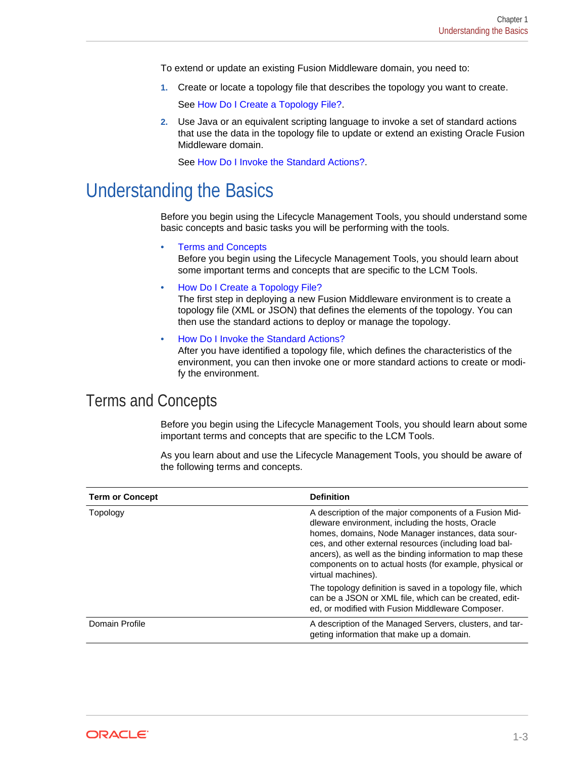<span id="page-10-0"></span>To extend or update an existing Fusion Middleware domain, you need to:

**1.** Create or locate a topology file that describes the topology you want to create.

See [How Do I Create a Topology File?](#page-11-0).

**2.** Use Java or an equivalent scripting language to invoke a set of standard actions that use the data in the topology file to update or extend an existing Oracle Fusion Middleware domain.

See [How Do I Invoke the Standard Actions?](#page-11-0).

Understanding the Basics

Before you begin using the Lifecycle Management Tools, you should understand some basic concepts and basic tasks you will be performing with the tools.

• Terms and Concepts

Before you begin using the Lifecycle Management Tools, you should learn about some important terms and concepts that are specific to the LCM Tools.

• [How Do I Create a Topology File?](#page-11-0)

The first step in deploying a new Fusion Middleware environment is to create a topology file (XML or JSON) that defines the elements of the topology. You can then use the standard actions to deploy or manage the topology.

• [How Do I Invoke the Standard Actions?](#page-11-0) After you have identified a topology file, which defines the characteristics of the environment, you can then invoke one or more standard actions to create or modi‐ fy the environment.

#### Terms and Concepts

Before you begin using the Lifecycle Management Tools, you should learn about some important terms and concepts that are specific to the LCM Tools.

| <b>Term or Concept</b> | <b>Definition</b>                                                                                                                                                                                                                                                                                                                                                       |
|------------------------|-------------------------------------------------------------------------------------------------------------------------------------------------------------------------------------------------------------------------------------------------------------------------------------------------------------------------------------------------------------------------|
| Topology               | A description of the major components of a Fusion Mid-<br>dleware environment, including the hosts, Oracle<br>homes, domains, Node Manager instances, data sour-<br>ces, and other external resources (including load bal-<br>ancers), as well as the binding information to map these<br>components on to actual hosts (for example, physical or<br>virtual machines). |
|                        | The topology definition is saved in a topology file, which<br>can be a JSON or XML file, which can be created, edit-<br>ed, or modified with Fusion Middleware Composer.                                                                                                                                                                                                |
| Domain Profile         | A description of the Managed Servers, clusters, and tar-<br>geting information that make up a domain.                                                                                                                                                                                                                                                                   |

As you learn about and use the Lifecycle Management Tools, you should be aware of the following terms and concepts.

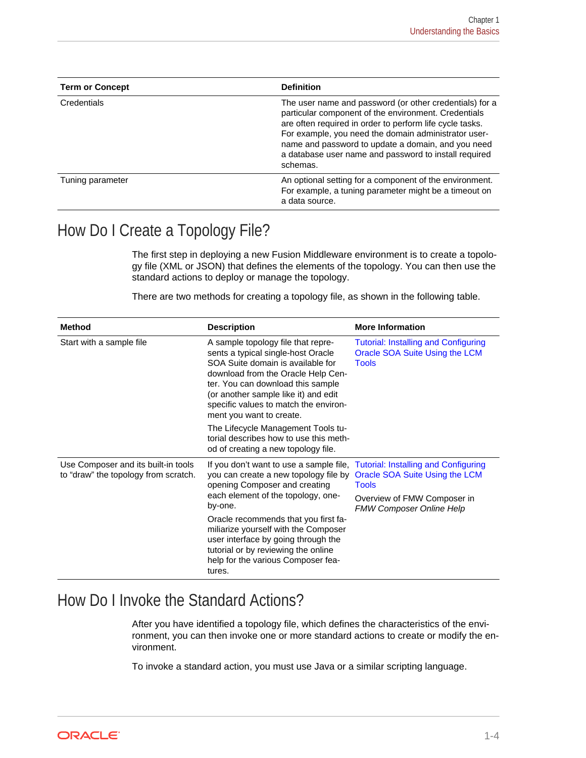<span id="page-11-0"></span>

| <b>Term or Concept</b> | <b>Definition</b>                                                                                                                                                                                                                                                                                                                                              |
|------------------------|----------------------------------------------------------------------------------------------------------------------------------------------------------------------------------------------------------------------------------------------------------------------------------------------------------------------------------------------------------------|
| Credentials            | The user name and password (or other credentials) for a<br>particular component of the environment. Credentials<br>are often required in order to perform life cycle tasks.<br>For example, you need the domain administrator user-<br>name and password to update a domain, and you need<br>a database user name and password to install required<br>schemas. |
| Tuning parameter       | An optional setting for a component of the environment.<br>For example, a tuning parameter might be a timeout on<br>a data source.                                                                                                                                                                                                                             |

#### How Do I Create a Topology File?

The first step in deploying a new Fusion Middleware environment is to create a topolo‐ gy file (XML or JSON) that defines the elements of the topology. You can then use the standard actions to deploy or manage the topology.

There are two methods for creating a topology file, as shown in the following table.

| <b>Method</b>                                                               | <b>Description</b>                                                                                                                                                                                                                                                                                                                                                                                                    | <b>More Information</b>                                                                                          |
|-----------------------------------------------------------------------------|-----------------------------------------------------------------------------------------------------------------------------------------------------------------------------------------------------------------------------------------------------------------------------------------------------------------------------------------------------------------------------------------------------------------------|------------------------------------------------------------------------------------------------------------------|
| Start with a sample file                                                    | A sample topology file that repre-<br>sents a typical single-host Oracle<br>SOA Suite domain is available for<br>download from the Oracle Help Cen-<br>ter. You can download this sample<br>(or another sample like it) and edit<br>specific values to match the environ-<br>ment you want to create.                                                                                                                 | <b>Tutorial: Installing and Configuring</b><br>Oracle SOA Suite Using the LCM<br><b>Tools</b>                    |
|                                                                             | The Lifecycle Management Tools tu-<br>torial describes how to use this meth-<br>od of creating a new topology file.                                                                                                                                                                                                                                                                                                   |                                                                                                                  |
| Use Composer and its built-in tools<br>to "draw" the topology from scratch. | If you don't want to use a sample file, Tutorial: Installing and Configuring<br>you can create a new topology file by<br>opening Composer and creating<br>each element of the topology, one-<br>by-one.<br>Oracle recommends that you first fa-<br>miliarize yourself with the Composer<br>user interface by going through the<br>tutorial or by reviewing the online<br>help for the various Composer fea-<br>tures. | Oracle SOA Suite Using the LCM<br><b>Tools</b><br>Overview of FMW Composer in<br><b>FMW Composer Online Help</b> |

## How Do I Invoke the Standard Actions?

After you have identified a topology file, which defines the characteristics of the environment, you can then invoke one or more standard actions to create or modify the en‐ vironment.

To invoke a standard action, you must use Java or a similar scripting language.

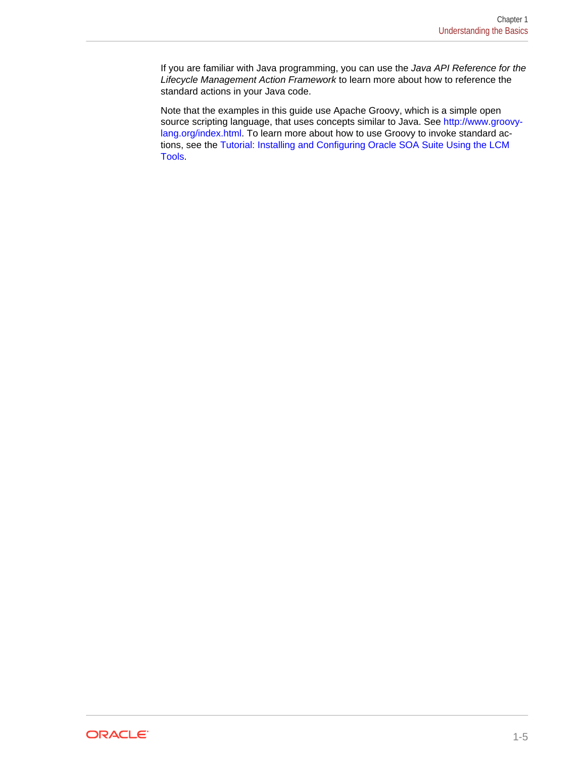If you are familiar with Java programming, you can use the *Java API Reference for the Lifecycle Management Action Framework* to learn more about how to reference the standard actions in your Java code.

Note that the examples in this guide use Apache Groovy, which is a simple open source scripting language, that uses concepts similar to Java. See [http://www.groovy](http://www.groovy-lang.org/index.html)[lang.org/index.html](http://www.groovy-lang.org/index.html). To learn more about how to use Groovy to invoke standard actions, see the [Tutorial: Installing and Configuring Oracle SOA Suite Using the LCM](#page-16-0) [Tools](#page-16-0).

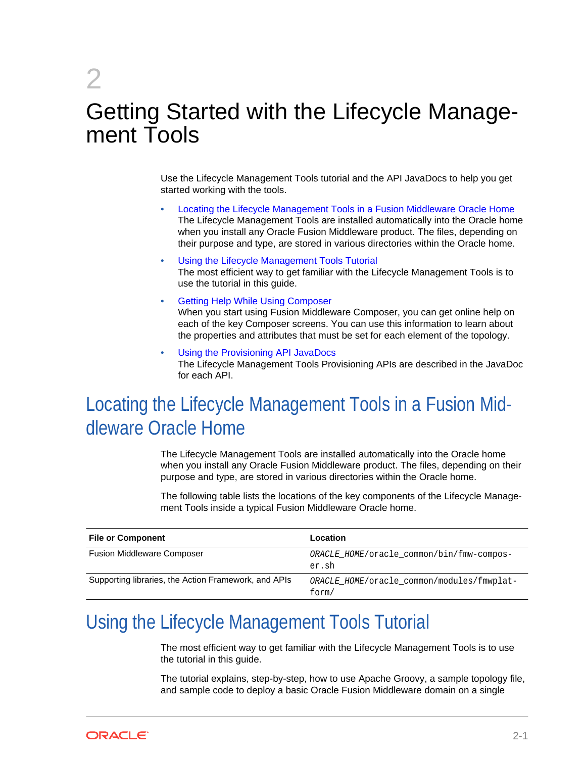# Getting Started with the Lifecycle Manage‐ ment Tools

Use the Lifecycle Management Tools tutorial and the API JavaDocs to help you get started working with the tools.

- Locating the Lifecycle Management Tools in a Fusion Middleware Oracle Home The Lifecycle Management Tools are installed automatically into the Oracle home when you install any Oracle Fusion Middleware product. The files, depending on their purpose and type, are stored in various directories within the Oracle home.
- Using the Lifecycle Management Tools Tutorial The most efficient way to get familiar with the Lifecycle Management Tools is to use the tutorial in this guide.
- [Getting Help While Using Composer](#page-14-0) When you start using Fusion Middleware Composer, you can get online help on each of the key Composer screens. You can use this information to learn about the properties and attributes that must be set for each element of the topology.
- [Using the Provisioning API JavaDocs](#page-15-0) The Lifecycle Management Tools Provisioning APIs are described in the JavaDoc for each API.

# Locating the Lifecycle Management Tools in a Fusion Mid‐ dleware Oracle Home

The Lifecycle Management Tools are installed automatically into the Oracle home when you install any Oracle Fusion Middleware product. The files, depending on their purpose and type, are stored in various directories within the Oracle home.

The following table lists the locations of the key components of the Lifecycle Manage‐ ment Tools inside a typical Fusion Middleware Oracle home.

| <b>File or Component</b>                             | Location                                            |
|------------------------------------------------------|-----------------------------------------------------|
| <b>Fusion Middleware Composer</b>                    | ORACLE HOME/oracle common/bin/fmw-compos-<br>er.sh  |
| Supporting libraries, the Action Framework, and APIs | ORACLE HOME/oracle common/modules/fmwplat-<br>form/ |

# Using the Lifecycle Management Tools Tutorial

The most efficient way to get familiar with the Lifecycle Management Tools is to use the tutorial in this guide.

The tutorial explains, step-by-step, how to use Apache Groovy, a sample topology file, and sample code to deploy a basic Oracle Fusion Middleware domain on a single



<span id="page-13-0"></span>2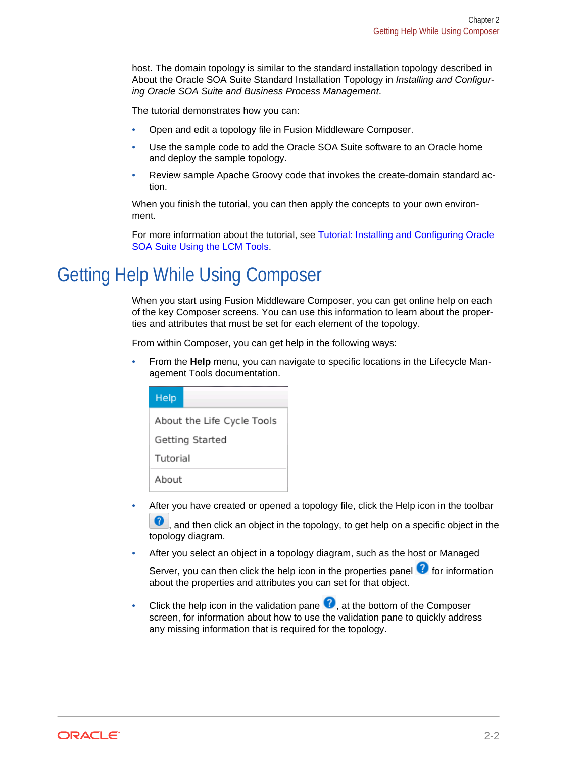<span id="page-14-0"></span>host. The domain topology is similar to the standard installation topology described in About the Oracle SOA Suite Standard Installation Topology in *Installing and Configur‐ ing Oracle SOA Suite and Business Process Management*.

The tutorial demonstrates how you can:

- Open and edit a topology file in Fusion Middleware Composer.
- Use the sample code to add the Oracle SOA Suite software to an Oracle home and deploy the sample topology.
- Review sample Apache Groovy code that invokes the create-domain standard ac‐ tion.

When you finish the tutorial, you can then apply the concepts to your own environment.

For more information about the tutorial, see [Tutorial: Installing and Configuring Oracle](#page-16-0) [SOA Suite Using the LCM Tools.](#page-16-0)

## Getting Help While Using Composer

When you start using Fusion Middleware Composer, you can get online help on each of the key Composer screens. You can use this information to learn about the proper‐ ties and attributes that must be set for each element of the topology.

From within Composer, you can get help in the following ways:

• From the **Help** menu, you can navigate to specific locations in the Lifecycle Man‐ agement Tools documentation.

| Help                       |  |  |
|----------------------------|--|--|
| About the Life Cycle Tools |  |  |
| Getting Started            |  |  |
| Tutorial                   |  |  |
| About                      |  |  |

• After you have created or opened a topology file, click the Help icon in the toolbar

**2**, and then click an object in the topology, to get help on a specific object in the topology diagram.

• After you select an object in a topology diagram, such as the host or Managed

Server, you can then click the help icon in the properties panel  $\Omega$  for information about the properties and attributes you can set for that object.

Click the help icon in the validation pane  $\bullet$ , at the bottom of the Composer screen, for information about how to use the validation pane to quickly address any missing information that is required for the topology.

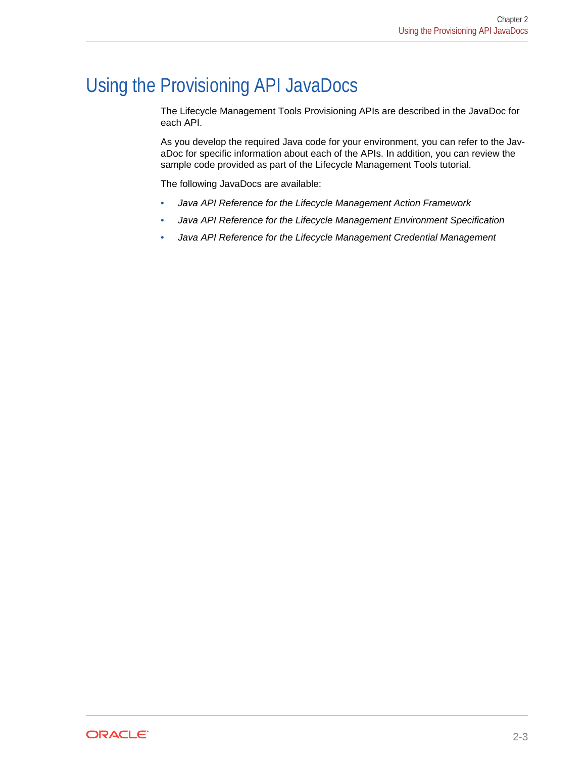# <span id="page-15-0"></span>Using the Provisioning API JavaDocs

The Lifecycle Management Tools Provisioning APIs are described in the JavaDoc for each API.

As you develop the required Java code for your environment, you can refer to the JavaDoc for specific information about each of the APIs. In addition, you can review the sample code provided as part of the Lifecycle Management Tools tutorial.

The following JavaDocs are available:

- *Java API Reference for the Lifecycle Management Action Framework*
- *Java API Reference for the Lifecycle Management Environment Specification*
- *Java API Reference for the Lifecycle Management Credential Management*

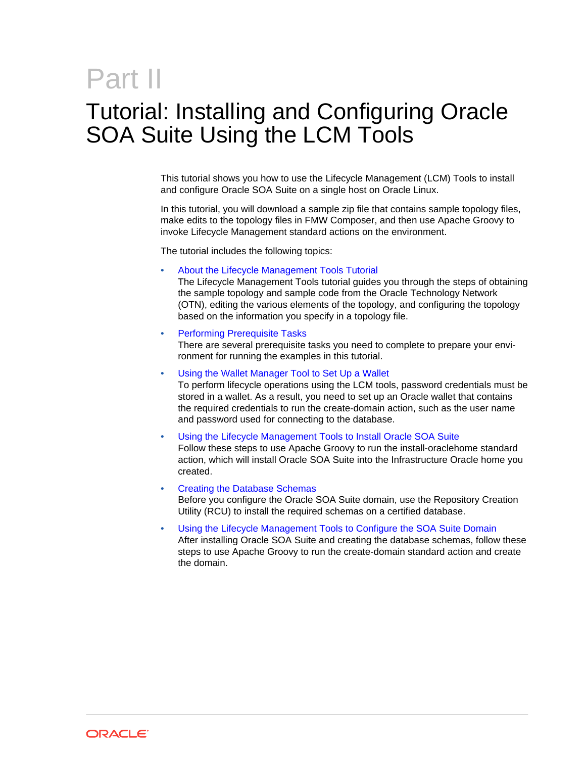# <span id="page-16-0"></span>Part II

# Tutorial: Installing and Configuring Oracle SOA Suite Using the LCM Tools

This tutorial shows you how to use the Lifecycle Management (LCM) Tools to install and configure Oracle SOA Suite on a single host on Oracle Linux.

In this tutorial, you will download a sample zip file that contains sample topology files, make edits to the topology files in FMW Composer, and then use Apache Groovy to invoke Lifecycle Management standard actions on the environment.

The tutorial includes the following topics:

• [About the Lifecycle Management Tools Tutorial](#page-17-0)

The Lifecycle Management Tools tutorial guides you through the steps of obtaining the sample topology and sample code from the Oracle Technology Network (OTN), editing the various elements of the topology, and configuring the topology based on the information you specify in a topology file.

**[Performing Prerequisite Tasks](#page-23-0)** 

There are several prerequisite tasks you need to complete to prepare your envi‐ ronment for running the examples in this tutorial.

• [Using the Wallet Manager Tool to Set Up a Wallet](#page-26-0)

To perform lifecycle operations using the LCM tools, password credentials must be stored in a wallet. As a result, you need to set up an Oracle wallet that contains the required credentials to run the create-domain action, such as the user name and password used for connecting to the database.

• [Using the Lifecycle Management Tools to Install Oracle SOA Suite](#page-30-0) Follow these steps to use Apache Groovy to run the install-oraclehome standard action, which will install Oracle SOA Suite into the Infrastructure Oracle home you created.

• [Creating the Database Schemas](#page-34-0) Before you configure the Oracle SOA Suite domain, use the Repository Creation Utility (RCU) to install the required schemas on a certified database.

• [Using the Lifecycle Management Tools to Configure the SOA Suite Domain](#page-38-0) After installing Oracle SOA Suite and creating the database schemas, follow these steps to use Apache Groovy to run the create-domain standard action and create the domain.

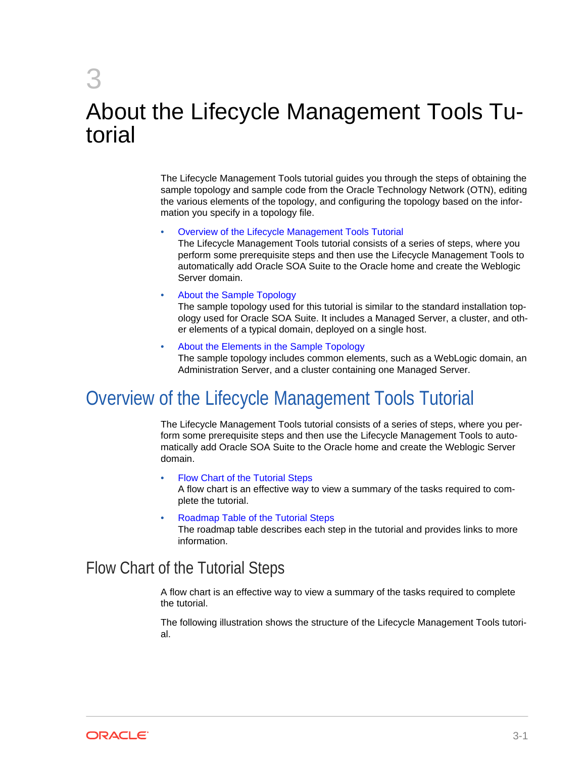<span id="page-17-0"></span>3

# About the Lifecycle Management Tools Tu‐ torial

The Lifecycle Management Tools tutorial guides you through the steps of obtaining the sample topology and sample code from the Oracle Technology Network (OTN), editing the various elements of the topology, and configuring the topology based on the infor‐ mation you specify in a topology file.

#### • Overview of the Lifecycle Management Tools Tutorial

The Lifecycle Management Tools tutorial consists of a series of steps, where you perform some prerequisite steps and then use the Lifecycle Management Tools to automatically add Oracle SOA Suite to the Oracle home and create the Weblogic Server domain.

#### • [About the Sample Topology](#page-20-0)

The sample topology used for this tutorial is similar to the standard installation top‐ ology used for Oracle SOA Suite. It includes a Managed Server, a cluster, and oth‐ er elements of a typical domain, deployed on a single host.

#### • [About the Elements in the Sample Topology](#page-21-0)

The sample topology includes common elements, such as a WebLogic domain, an Administration Server, and a cluster containing one Managed Server.

## Overview of the Lifecycle Management Tools Tutorial

The Lifecycle Management Tools tutorial consists of a series of steps, where you per‐ form some prerequisite steps and then use the Lifecycle Management Tools to auto‐ matically add Oracle SOA Suite to the Oracle home and create the Weblogic Server domain.

• Flow Chart of the Tutorial Steps

A flow chart is an effective way to view a summary of the tasks required to com‐ plete the tutorial.

• [Roadmap Table of the Tutorial Steps](#page-18-0) The roadmap table describes each step in the tutorial and provides links to more information.

#### Flow Chart of the Tutorial Steps

A flow chart is an effective way to view a summary of the tasks required to complete the tutorial.

The following illustration shows the structure of the Lifecycle Management Tools tutori‐ al.

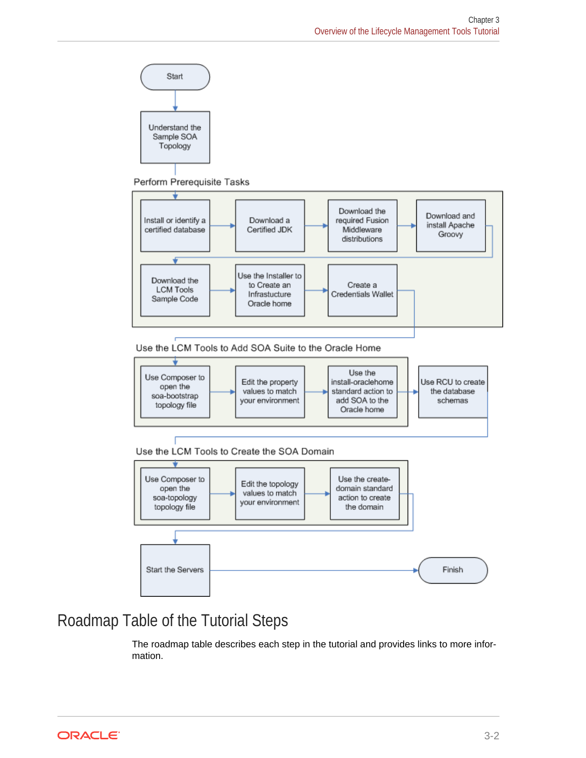<span id="page-18-0"></span>

Perform Prerequisite Tasks



Use the LCM Tools to Add SOA Suite to the Oracle Home



Use the LCM Tools to Create the SOA Domain



### Roadmap Table of the Tutorial Steps

The roadmap table describes each step in the tutorial and provides links to more infor‐ mation.

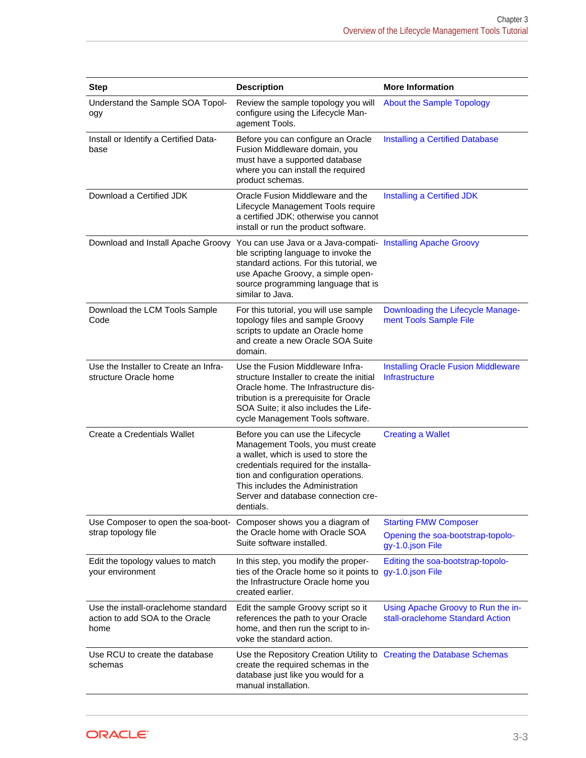| <b>Step</b>                                                                    | <b>Description</b>                                                                                                                                                                                                                                                                    | <b>More Information</b>                                                               |
|--------------------------------------------------------------------------------|---------------------------------------------------------------------------------------------------------------------------------------------------------------------------------------------------------------------------------------------------------------------------------------|---------------------------------------------------------------------------------------|
| Understand the Sample SOA Topol-<br>ogy                                        | Review the sample topology you will<br>configure using the Lifecycle Man-<br>agement Tools.                                                                                                                                                                                           | <b>About the Sample Topology</b>                                                      |
| Install or Identify a Certified Data-<br>base                                  | Before you can configure an Oracle<br>Fusion Middleware domain, you<br>must have a supported database<br>where you can install the required<br>product schemas.                                                                                                                       | Installing a Certified Database                                                       |
| Download a Certified JDK                                                       | Oracle Fusion Middleware and the<br>Lifecycle Management Tools require<br>a certified JDK; otherwise you cannot<br>install or run the product software.                                                                                                                               | Installing a Certified JDK                                                            |
|                                                                                | Download and Install Apache Groovy You can use Java or a Java-compati- Installing Apache Groovy<br>ble scripting language to invoke the<br>standard actions. For this tutorial, we<br>use Apache Groovy, a simple open-<br>source programming language that is<br>similar to Java.    |                                                                                       |
| Download the LCM Tools Sample<br>Code                                          | For this tutorial, you will use sample<br>topology files and sample Groovy<br>scripts to update an Oracle home<br>and create a new Oracle SOA Suite<br>domain.                                                                                                                        | Downloading the Lifecycle Manage-<br>ment Tools Sample File                           |
| Use the Installer to Create an Infra-<br>structure Oracle home                 | Use the Fusion Middleware Infra-<br>structure Installer to create the initial<br>Oracle home. The Infrastructure dis-<br>tribution is a prerequisite for Oracle<br>SOA Suite; it also includes the Life-<br>cycle Management Tools software.                                          | <b>Installing Oracle Fusion Middleware</b><br><b>Infrastructure</b>                   |
| Create a Credentials Wallet                                                    | Before you can use the Lifecycle<br>Management Tools, you must create<br>a wallet, which is used to store the<br>credentials required for the installa-<br>tion and configuration operations.<br>This includes the Administration<br>Server and database connection cre-<br>dentials. | <b>Creating a Wallet</b>                                                              |
| Use Composer to open the soa-boot-<br>strap topology file                      | Composer shows you a diagram of<br>the Oracle home with Oracle SOA<br>Suite software installed.                                                                                                                                                                                       | <b>Starting FMW Composer</b><br>Opening the soa-bootstrap-topolo-<br>gy-1.0.json File |
| Edit the topology values to match<br>your environment                          | In this step, you modify the proper-<br>ties of the Oracle home so it points to<br>the Infrastructure Oracle home you<br>created earlier.                                                                                                                                             | Editing the soa-bootstrap-topolo-<br>gy-1.0.json File                                 |
| Use the install-oraclehome standard<br>action to add SOA to the Oracle<br>home | Edit the sample Groovy script so it<br>references the path to your Oracle<br>home, and then run the script to in-<br>voke the standard action.                                                                                                                                        | Using Apache Groovy to Run the in-<br>stall-oraclehome Standard Action                |
| Use RCU to create the database<br>schemas                                      | Use the Repository Creation Utility to Creating the Database Schemas<br>create the required schemas in the<br>database just like you would for a<br>manual installation.                                                                                                              |                                                                                       |

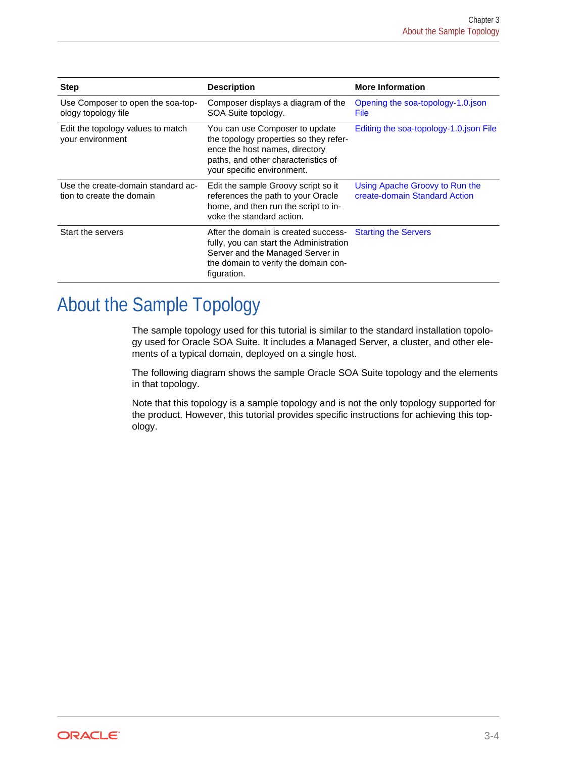<span id="page-20-0"></span>

| <b>Step</b>                                                     | <b>Description</b>                                                                                                                                                              | <b>More Information</b>                                         |
|-----------------------------------------------------------------|---------------------------------------------------------------------------------------------------------------------------------------------------------------------------------|-----------------------------------------------------------------|
| Use Composer to open the soa-top-<br>ology topology file        | Composer displays a diagram of the<br>SOA Suite topology.                                                                                                                       | Opening the soa-topology-1.0.json<br><b>File</b>                |
| Edit the topology values to match<br>your environment           | You can use Composer to update<br>the topology properties so they refer-<br>ence the host names, directory<br>paths, and other characteristics of<br>your specific environment. | Editing the soa-topology-1.0.json File                          |
| Use the create-domain standard ac-<br>tion to create the domain | Edit the sample Groovy script so it<br>references the path to your Oracle<br>home, and then run the script to in-<br>voke the standard action.                                  | Using Apache Groovy to Run the<br>create-domain Standard Action |
| Start the servers                                               | After the domain is created success-<br>fully, you can start the Administration<br>Server and the Managed Server in<br>the domain to verify the domain con-<br>figuration.      | <b>Starting the Servers</b>                                     |

# About the Sample Topology

The sample topology used for this tutorial is similar to the standard installation topolo‐ gy used for Oracle SOA Suite. It includes a Managed Server, a cluster, and other ele‐ ments of a typical domain, deployed on a single host.

The following diagram shows the sample Oracle SOA Suite topology and the elements in that topology.

Note that this topology is a sample topology and is not the only topology supported for the product. However, this tutorial provides specific instructions for achieving this top‐ ology.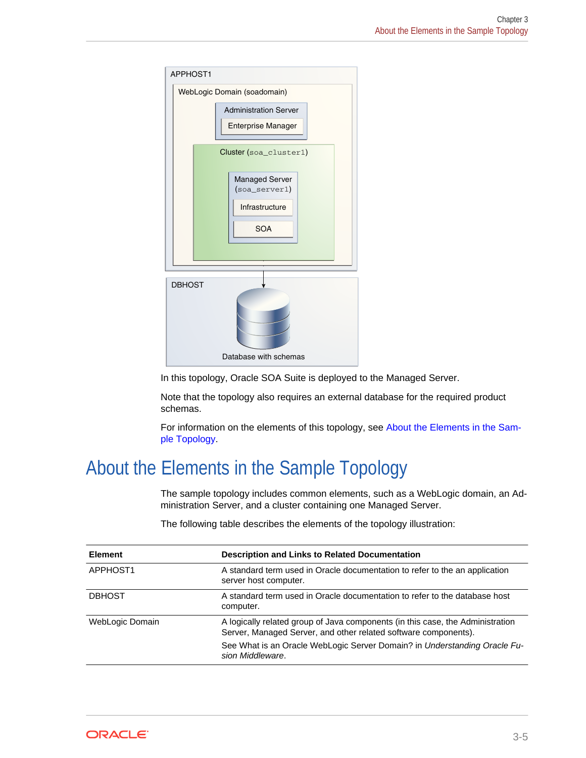<span id="page-21-0"></span>

In this topology, Oracle SOA Suite is deployed to the Managed Server.

Note that the topology also requires an external database for the required product schemas.

For information on the elements of this topology, see About the Elements in the Sample Topology.

# About the Elements in the Sample Topology

The sample topology includes common elements, such as a WebLogic domain, an Ad‐ ministration Server, and a cluster containing one Managed Server.

| <b>Element</b>  | <b>Description and Links to Related Documentation</b>                                                                                             |
|-----------------|---------------------------------------------------------------------------------------------------------------------------------------------------|
| APPHOST1        | A standard term used in Oracle documentation to refer to the an application<br>server host computer.                                              |
| <b>DBHOST</b>   | A standard term used in Oracle documentation to refer to the database host<br>computer.                                                           |
| WebLogic Domain | A logically related group of Java components (in this case, the Administration<br>Server, Managed Server, and other related software components). |
|                 | See What is an Oracle WebLogic Server Domain? in Understanding Oracle Fu-<br>sion Middleware.                                                     |

The following table describes the elements of the topology illustration:

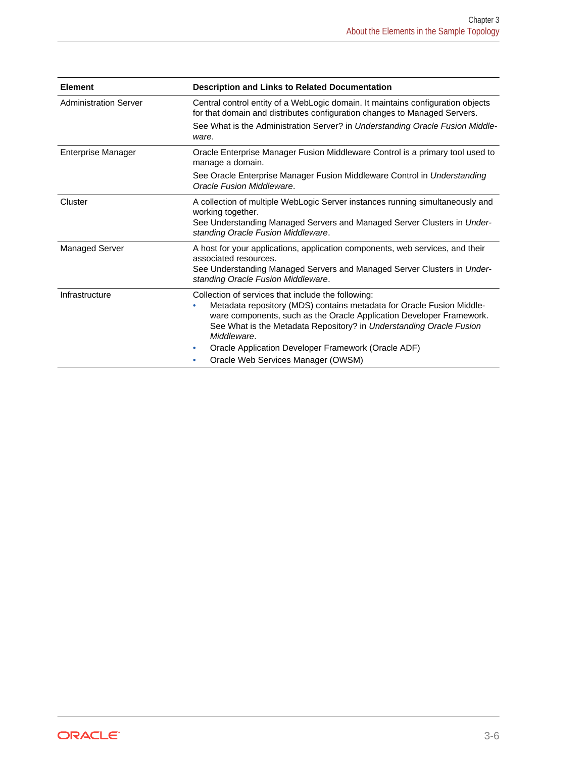| <b>Element</b>               | <b>Description and Links to Related Documentation</b>                                                                                                                                                                                                                                                                                                      |
|------------------------------|------------------------------------------------------------------------------------------------------------------------------------------------------------------------------------------------------------------------------------------------------------------------------------------------------------------------------------------------------------|
| <b>Administration Server</b> | Central control entity of a WebLogic domain. It maintains configuration objects<br>for that domain and distributes configuration changes to Managed Servers.                                                                                                                                                                                               |
|                              | See What is the Administration Server? in Understanding Oracle Fusion Middle-<br>ware.                                                                                                                                                                                                                                                                     |
| <b>Enterprise Manager</b>    | Oracle Enterprise Manager Fusion Middleware Control is a primary tool used to<br>manage a domain.                                                                                                                                                                                                                                                          |
|                              | See Oracle Enterprise Manager Fusion Middleware Control in Understanding<br>Oracle Fusion Middleware.                                                                                                                                                                                                                                                      |
| Cluster                      | A collection of multiple WebLogic Server instances running simultaneously and<br>working together.<br>See Understanding Managed Servers and Managed Server Clusters in Under-<br>standing Oracle Fusion Middleware.                                                                                                                                        |
| Managed Server               | A host for your applications, application components, web services, and their<br>associated resources.<br>See Understanding Managed Servers and Managed Server Clusters in Under-<br>standing Oracle Fusion Middleware.                                                                                                                                    |
| Infrastructure               | Collection of services that include the following:<br>Metadata repository (MDS) contains metadata for Oracle Fusion Middle-<br>۰<br>ware components, such as the Oracle Application Developer Framework.<br>See What is the Metadata Repository? in Understanding Oracle Fusion<br>Middleware.<br>Oracle Application Developer Framework (Oracle ADF)<br>۰ |
|                              | Oracle Web Services Manager (OWSM)                                                                                                                                                                                                                                                                                                                         |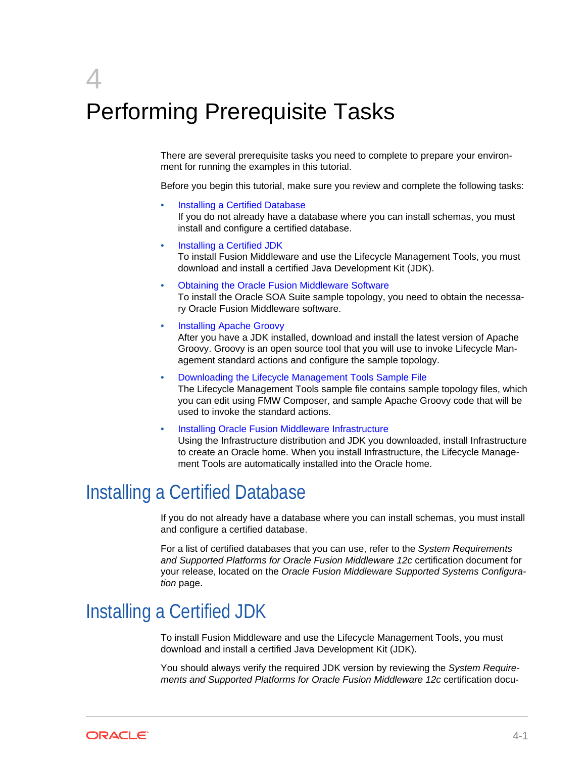# <span id="page-23-0"></span>4 Performing Prerequisite Tasks

There are several prerequisite tasks you need to complete to prepare your environ‐ ment for running the examples in this tutorial.

Before you begin this tutorial, make sure you review and complete the following tasks:

- Installing a Certified Database If you do not already have a database where you can install schemas, you must install and configure a certified database.
- Installing a Certified JDK

To install Fusion Middleware and use the Lifecycle Management Tools, you must download and install a certified Java Development Kit (JDK).

- [Obtaining the Oracle Fusion Middleware Software](#page-24-0) To install the Oracle SOA Suite sample topology, you need to obtain the necessa‐ ry Oracle Fusion Middleware software.
- [Installing Apache Groovy](#page-24-0)

After you have a JDK installed, download and install the latest version of Apache Groovy. Groovy is an open source tool that you will use to invoke Lifecycle Man‐ agement standard actions and configure the sample topology.

- [Downloading the Lifecycle Management Tools Sample File](#page-24-0) The Lifecycle Management Tools sample file contains sample topology files, which you can edit using FMW Composer, and sample Apache Groovy code that will be used to invoke the standard actions.
- [Installing Oracle Fusion Middleware Infrastructure](#page-25-0)

Using the Infrastructure distribution and JDK you downloaded, install Infrastructure to create an Oracle home. When you install Infrastructure, the Lifecycle Manage‐ ment Tools are automatically installed into the Oracle home.

# Installing a Certified Database

If you do not already have a database where you can install schemas, you must install and configure a certified database.

For a list of certified databases that you can use, refer to the *System Requirements and Supported Platforms for Oracle Fusion Middleware 12c* certification document for your release, located on the *Oracle Fusion Middleware Supported Systems Configura‐ tion* page.

# Installing a Certified JDK

To install Fusion Middleware and use the Lifecycle Management Tools, you must download and install a certified Java Development Kit (JDK).

You should always verify the required JDK version by reviewing the *System Require‐ ments and Supported Platforms for Oracle Fusion Middleware 12c* certification docu‐

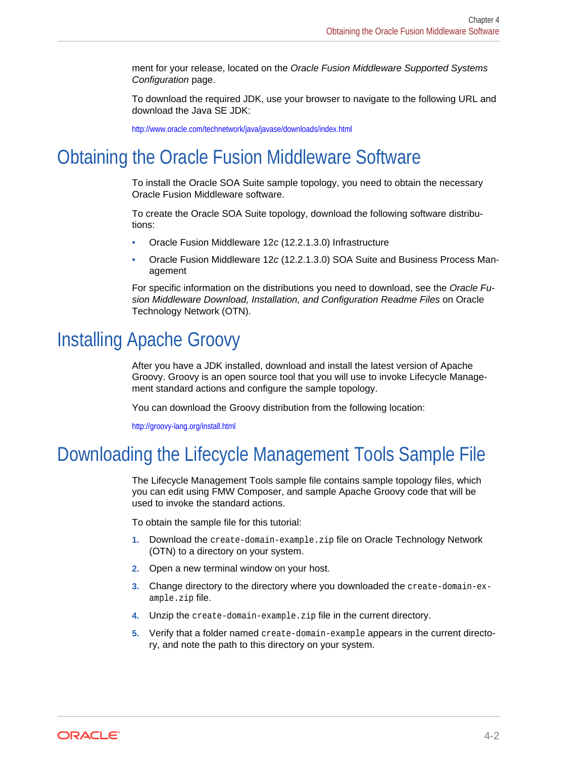<span id="page-24-0"></span>ment for your release, located on the *Oracle Fusion Middleware Supported Systems Configuration* page.

To download the required JDK, use your browser to navigate to the following URL and download the Java SE JDK:

<http://www.oracle.com/technetwork/java/javase/downloads/index.html>

# Obtaining the Oracle Fusion Middleware Software

To install the Oracle SOA Suite sample topology, you need to obtain the necessary Oracle Fusion Middleware software.

To create the Oracle SOA Suite topology, download the following software distribu‐ tions:

- Oracle Fusion Middleware 12*c* (12.2.1.3.0) Infrastructure
- Oracle Fusion Middleware 12*c* (12.2.1.3.0) SOA Suite and Business Process Man‐ agement

For specific information on the distributions you need to download, see the *Oracle Fu‐ sion Middleware Download, Installation, and Configuration Readme Files* on Oracle Technology Network (OTN).

# Installing Apache Groovy

After you have a JDK installed, download and install the latest version of Apache Groovy. Groovy is an open source tool that you will use to invoke Lifecycle Manage‐ ment standard actions and configure the sample topology.

You can download the Groovy distribution from the following location:

<http://groovy-lang.org/install.html>

## Downloading the Lifecycle Management Tools Sample File

The Lifecycle Management Tools sample file contains sample topology files, which you can edit using FMW Composer, and sample Apache Groovy code that will be used to invoke the standard actions.

To obtain the sample file for this tutorial:

- **1.** Download the create-domain-example.zip file on Oracle Technology Network (OTN) to a directory on your system.
- **2.** Open a new terminal window on your host.
- **3.** Change directory to the directory where you downloaded the create-domain-example.zip file.
- **4.** Unzip the create-domain-example.zip file in the current directory.
- **5.** Verify that a folder named create-domain-example appears in the current directo‐ ry, and note the path to this directory on your system.

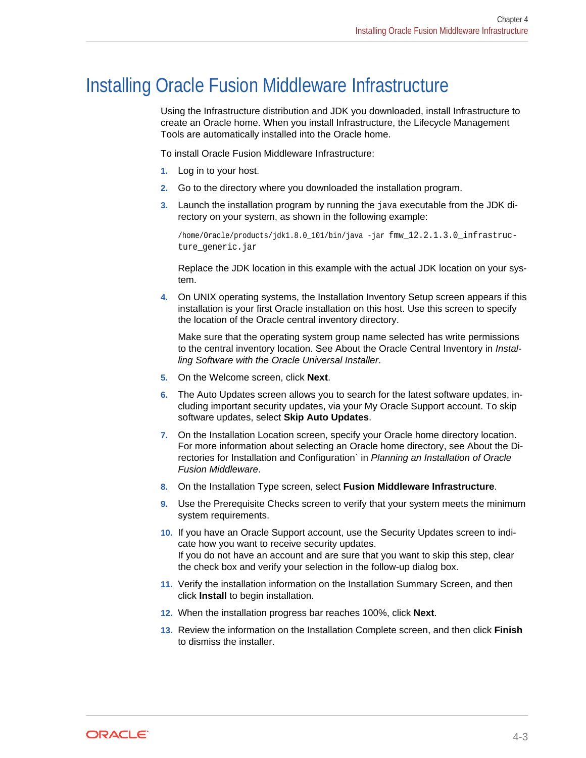## <span id="page-25-0"></span>Installing Oracle Fusion Middleware Infrastructure

Using the Infrastructure distribution and JDK you downloaded, install Infrastructure to create an Oracle home. When you install Infrastructure, the Lifecycle Management Tools are automatically installed into the Oracle home.

To install Oracle Fusion Middleware Infrastructure:

- **1.** Log in to your host.
- **2.** Go to the directory where you downloaded the installation program.
- **3.** Launch the installation program by running the java executable from the JDK di‐ rectory on your system, as shown in the following example:

/home/Oracle/products/jdk1.8.0\_101/bin/java -jar fmw\_12.2.1.3.0\_infrastructure\_generic.jar

Replace the JDK location in this example with the actual JDK location on your sys‐ tem.

**4.** On UNIX operating systems, the Installation Inventory Setup screen appears if this installation is your first Oracle installation on this host. Use this screen to specify the location of the Oracle central inventory directory.

Make sure that the operating system group name selected has write permissions to the central inventory location. See About the Oracle Central Inventory in *Instal‐ ling Software with the Oracle Universal Installer*.

- **5.** On the Welcome screen, click **Next**.
- **6.** The Auto Updates screen allows you to search for the latest software updates, in‐ cluding important security updates, via your My Oracle Support account. To skip software updates, select **Skip Auto Updates**.
- **7.** On the Installation Location screen, specify your Oracle home directory location. For more information about selecting an Oracle home directory, see About the Di‐ rectories for Installation and Configuration` in *Planning an Installation of Oracle Fusion Middleware*.
- **8.** On the Installation Type screen, select **Fusion Middleware Infrastructure**.
- **9.** Use the Prerequisite Checks screen to verify that your system meets the minimum system requirements.
- **10.** If you have an Oracle Support account, use the Security Updates screen to indi‐ cate how you want to receive security updates. If you do not have an account and are sure that you want to skip this step, clear the check box and verify your selection in the follow-up dialog box.
- **11.** Verify the installation information on the Installation Summary Screen, and then click **Install** to begin installation.
- **12.** When the installation progress bar reaches 100%, click **Next**.
- **13.** Review the information on the Installation Complete screen, and then click **Finish** to dismiss the installer.

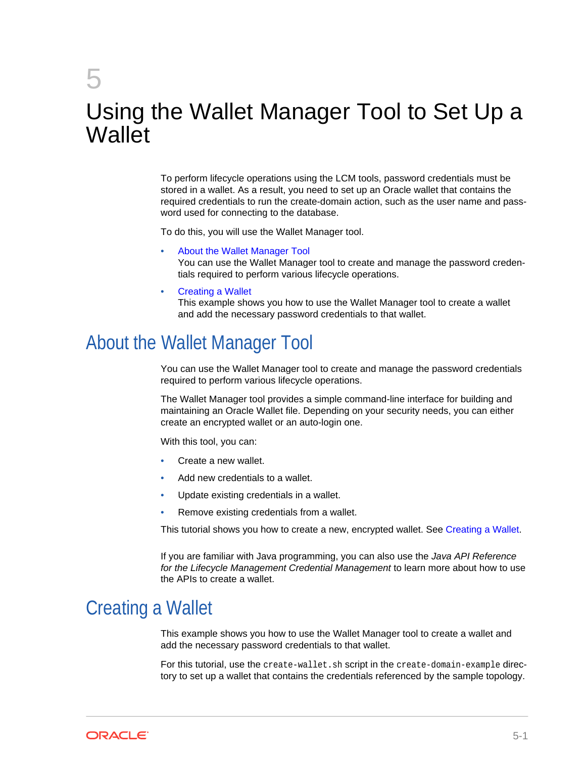# <span id="page-26-0"></span>5 Using the Wallet Manager Tool to Set Up a **Wallet**

To perform lifecycle operations using the LCM tools, password credentials must be stored in a wallet. As a result, you need to set up an Oracle wallet that contains the required credentials to run the create-domain action, such as the user name and pass‐ word used for connecting to the database.

To do this, you will use the Wallet Manager tool.

- About the Wallet Manager Tool You can use the Wallet Manager tool to create and manage the password creden‐ tials required to perform various lifecycle operations.
- Creating a Wallet

This example shows you how to use the Wallet Manager tool to create a wallet and add the necessary password credentials to that wallet.

## About the Wallet Manager Tool

You can use the Wallet Manager tool to create and manage the password credentials required to perform various lifecycle operations.

The Wallet Manager tool provides a simple command-line interface for building and maintaining an Oracle Wallet file. Depending on your security needs, you can either create an encrypted wallet or an auto-login one.

With this tool, you can:

- Create a new wallet
- Add new credentials to a wallet.
- Update existing credentials in a wallet.
- Remove existing credentials from a wallet.

This tutorial shows you how to create a new, encrypted wallet. See Creating a Wallet.

If you are familiar with Java programming, you can also use the *Java API Reference for the Lifecycle Management Credential Management* to learn more about how to use the APIs to create a wallet.

## Creating a Wallet

This example shows you how to use the Wallet Manager tool to create a wallet and add the necessary password credentials to that wallet.

For this tutorial, use the create-wallet.sh script in the create-domain-example directory to set up a wallet that contains the credentials referenced by the sample topology.

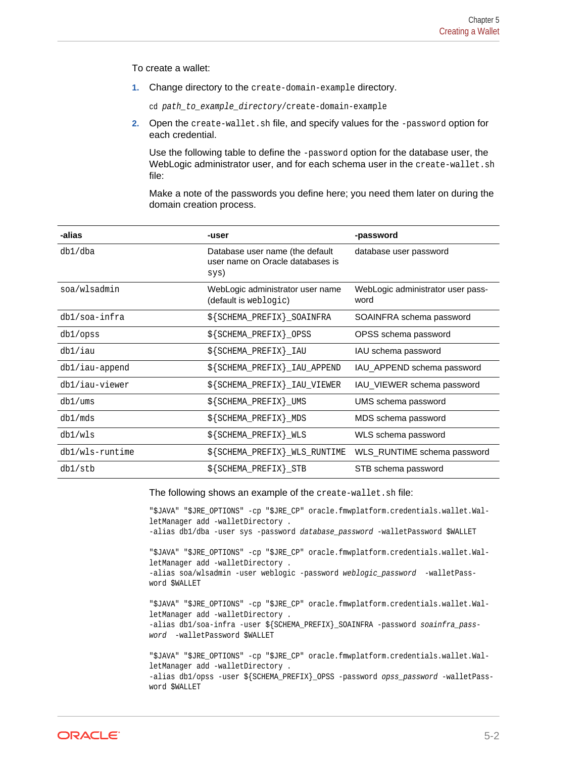<span id="page-27-0"></span>To create a wallet:

**1.** Change directory to the create-domain-example directory.

cd path\_to\_example\_directory/create-domain-example

**2.** Open the create-wallet.sh file, and specify values for the -password option for each credential.

Use the following table to define the -password option for the database user, the WebLogic administrator user, and for each schema user in the create-wallet.sh file:

Make a note of the passwords you define here; you need them later on during the domain creation process.

| -alias            | -user                                                                       | -password                                 |
|-------------------|-----------------------------------------------------------------------------|-------------------------------------------|
| $db1/db$ a        | Database user name (the default<br>user name on Oracle databases is<br>sys) | database user password                    |
| soa/wlsadmin      | WebLogic administrator user name<br>(default is weblogic)                   | WebLogic administrator user pass-<br>word |
| db1/soa-infra     | \${SCHEMA_PREFIX}_SOAINFRA                                                  | SOAINFRA schema password                  |
| db1/opss          | \${SCHEMA_PREFIX}_OPSS                                                      | OPSS schema password                      |
| db1/iau           | $$$ {SCHEMA_PREFIX}_IAU                                                     | IAU schema password                       |
| $db1/iau$ -append | \${SCHEMA_PREFIX}_IAU_APPEND                                                | IAU APPEND schema password                |
| db1/iau-viewer    | $$$ {SCHEMA_PREFIX}_IAU_VIEWER                                              | IAU VIEWER schema password                |
| db1/ums           | $$$ {SCHEMA_PREFIX}_UMS                                                     | UMS schema password                       |
| db1/mds           | $$$ {SCHEMA_PREFIX}_MDS                                                     | MDS schema password                       |
| db1/wls           | $$$ {SCHEMA_PREFIX}_WLS                                                     | WLS schema password                       |
| db1/wls-runtime   | $$$ {SCHEMA_PREFIX}_WLS_RUNTIME                                             | WLS RUNTIME schema password               |
| db1/stb           | $$$ {SCHEMA_PREFIX}_STB                                                     | STB schema password                       |

The following shows an example of the create-wallet.sh file:

```
"$JAVA" "$JRE_OPTIONS" -cp "$JRE_CP" oracle.fmwplatform.credentials.wallet.Wal-
letManager add -walletDirectory . 
-alias db1/dba -user sys -password database_password -walletPassword $WALLET
"$JAVA" "$JRE_OPTIONS" -cp "$JRE_CP" oracle.fmwplatform.credentials.wallet.Wal-
letManager add -walletDirectory . 
-alias soa/wlsadmin -user weblogic -password weblogic_password -walletPass-
word $WALLET
"$JAVA" "$JRE_OPTIONS" -cp "$JRE_CP" oracle.fmwplatform.credentials.wallet.Wal-
letManager add -walletDirectory . 
-alias db1/soa-infra -user ${SCHEMA_PREFIX}_SOAINFRA -password soainfra_pass-
word -walletPassword $WALLET
"$JAVA" "$JRE_OPTIONS" -cp "$JRE_CP" oracle.fmwplatform.credentials.wallet.Wal-
letManager add -walletDirectory . 
-alias db1/opss -user ${SCHEMA_PREFIX}_OPSS -password opss_password -walletPass-
word $WALLET
```
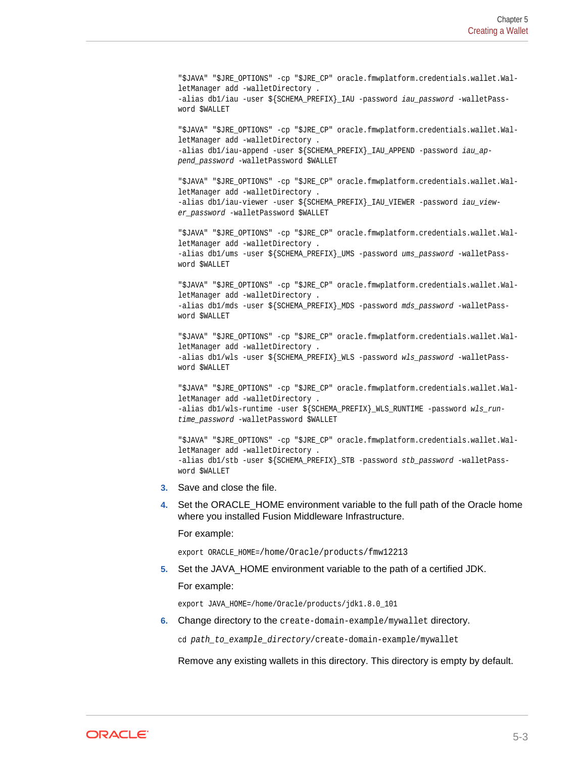"\$JAVA" "\$JRE\_OPTIONS" -cp "\$JRE\_CP" oracle.fmwplatform.credentials.wallet.WalletManager add -walletDirectory . -alias db1/iau -user \${SCHEMA\_PREFIX}\_IAU -password iau\_password -walletPassword \$WALLET

"\$JAVA" "\$JRE\_OPTIONS" -cp "\$JRE\_CP" oracle.fmwplatform.credentials.wallet.WalletManager add -walletDirectory . -alias db1/iau-append -user \${SCHEMA\_PREFIX}\_IAU\_APPEND -password iau\_append\_password -walletPassword \$WALLET

"\$JAVA" "\$JRE\_OPTIONS" -cp "\$JRE\_CP" oracle.fmwplatform.credentials.wallet.WalletManager add -walletDirectory . -alias db1/iau-viewer -user \${SCHEMA\_PREFIX}\_IAU\_VIEWER -password iau\_viewer password -walletPassword \$WALLET

"\$JAVA" "\$JRE\_OPTIONS" -cp "\$JRE\_CP" oracle.fmwplatform.credentials.wallet.WalletManager add -walletDirectory . -alias db1/ums -user \${SCHEMA\_PREFIX}\_UMS -password ums\_password -walletPassword \$WALLET

"\$JAVA" "\$JRE\_OPTIONS" -cp "\$JRE\_CP" oracle.fmwplatform.credentials.wallet.WalletManager add -walletDirectory . -alias db1/mds -user \${SCHEMA\_PREFIX}\_MDS -password mds\_password -walletPassword \$WALLET

"\$JAVA" "\$JRE\_OPTIONS" -cp "\$JRE\_CP" oracle.fmwplatform.credentials.wallet.WalletManager add -walletDirectory . -alias db1/wls -user \${SCHEMA\_PREFIX}\_WLS -password wls\_password -walletPassword \$WALLET

"\$JAVA" "\$JRE\_OPTIONS" -cp "\$JRE\_CP" oracle.fmwplatform.credentials.wallet.WalletManager add -walletDirectory . -alias db1/wls-runtime -user \${SCHEMA\_PREFIX}\_WLS\_RUNTIME -password wls\_runtime\_password -walletPassword \$WALLET

"\$JAVA" "\$JRE\_OPTIONS" -cp "\$JRE\_CP" oracle.fmwplatform.credentials.wallet.WalletManager add -walletDirectory . -alias db1/stb -user \${SCHEMA\_PREFIX}\_STB -password stb\_password -walletPassword \$WALLET

- **3.** Save and close the file.
- **4.** Set the ORACLE\_HOME environment variable to the full path of the Oracle home where you installed Fusion Middleware Infrastructure.

For example:

export ORACLE\_HOME=/home/Oracle/products/fmw12213

**5.** Set the JAVA\_HOME environment variable to the path of a certified JDK.

For example:

export JAVA\_HOME=/home/Oracle/products/jdk1.8.0\_101

**6.** Change directory to the create-domain-example/mywallet directory.

cd path to example directory/create-domain-example/mywallet

Remove any existing wallets in this directory. This directory is empty by default.

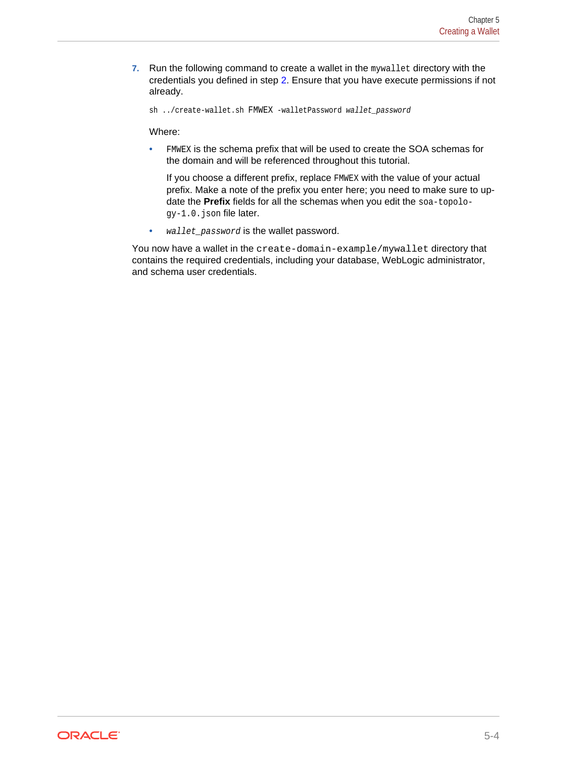**7.** Run the following command to create a wallet in the mywallet directory with the credentials you defined in step [2](#page-27-0). Ensure that you have execute permissions if not already.

sh ../create-wallet.sh FMWEX -walletPassword wallet\_password

Where:

• FMWEX is the schema prefix that will be used to create the SOA schemas for the domain and will be referenced throughout this tutorial.

If you choose a different prefix, replace FMWEX with the value of your actual prefix. Make a note of the prefix you enter here; you need to make sure to up‐ date the **Prefix** fields for all the schemas when you edit the soa-topology-1.0.json file later.

• wallet\_password is the wallet password.

You now have a wallet in the create-domain-example/mywallet directory that contains the required credentials, including your database, WebLogic administrator, and schema user credentials.

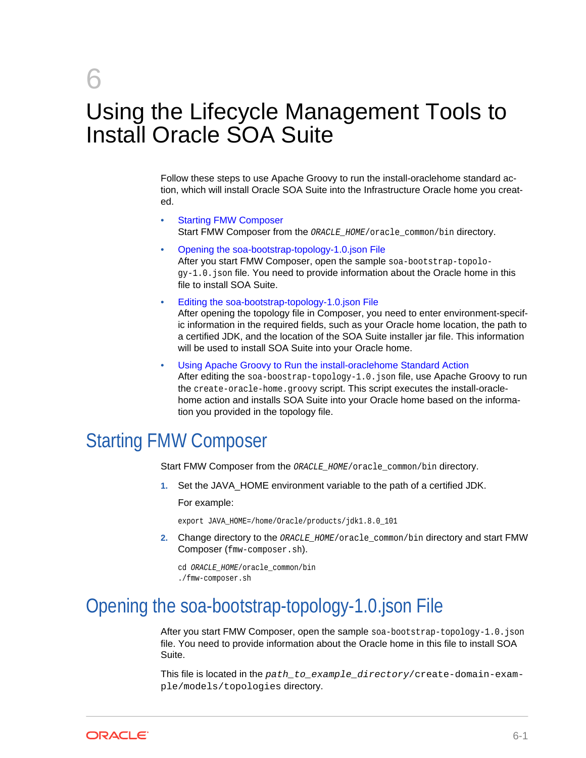# <span id="page-30-0"></span>6 Using the Lifecycle Management Tools to Install Oracle SOA Suite

Follow these steps to use Apache Groovy to run the install-oraclehome standard ac‐ tion, which will install Oracle SOA Suite into the Infrastructure Oracle home you creat‐ ed.

- **Starting FMW Composer** Start FMW Composer from the ORACLE\_HOME/oracle\_common/bin directory.
- Opening the soa-bootstrap-topology-1.0.json File After you start FMW Composer, open the sample soa-bootstrap-topolo $qy-1.0$ . json file. You need to provide information about the Oracle home in this file to install SOA Suite.
- [Editing the soa-bootstrap-topology-1.0.json File](#page-31-0)

After opening the topology file in Composer, you need to enter environment-specif‐ ic information in the required fields, such as your Oracle home location, the path to a certified JDK, and the location of the SOA Suite installer jar file. This information will be used to install SOA Suite into your Oracle home.

• [Using Apache Groovy to Run the install-oraclehome Standard Action](#page-32-0) After editing the  $soa-boostrap-topology-1.0.$  json file, use Apache Groovy to run the create-oracle-home.groovy script. This script executes the install-oraclehome action and installs SOA Suite into your Oracle home based on the informa‐ tion you provided in the topology file.

# Starting FMW Composer

Start FMW Composer from the ORACLE\_HOME/oracle\_common/bin directory.

**1.** Set the JAVA HOME environment variable to the path of a certified JDK.

For example:

export JAVA\_HOME=/home/Oracle/products/jdk1.8.0\_101

**2.** Change directory to the ORACLE\_HOME/oracle\_common/bin directory and start FMW Composer (fmw-composer.sh).

cd ORACLE\_HOME/oracle\_common/bin ./fmw-composer.sh

# Opening the soa-bootstrap-topology-1.0.json File

After you start FMW Composer, open the sample soa-bootstrap-topology-1.0.json file. You need to provide information about the Oracle home in this file to install SOA Suite.

This file is located in the path\_to\_example\_directory/create-domain-example/models/topologies directory.

ORACLE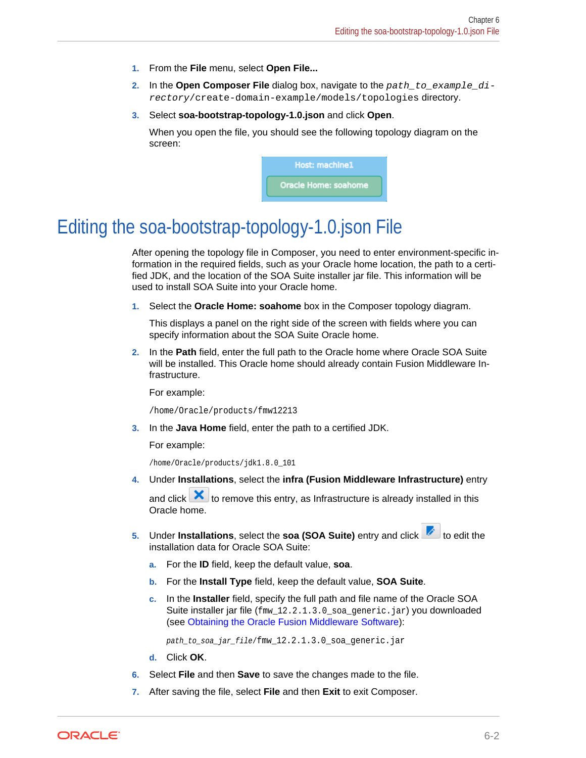- <span id="page-31-0"></span>**1.** From the **File** menu, select **Open File...**
- **2.** In the **Open Composer File** dialog box, navigate to the path\_to\_example\_directory/create-domain-example/models/topologies directory.
- **3.** Select **soa-bootstrap-topology-1.0.json** and click **Open**.

When you open the file, you should see the following topology diagram on the screen:



# Editing the soa-bootstrap-topology-1.0.json File

After opening the topology file in Composer, you need to enter environment-specific in‐ formation in the required fields, such as your Oracle home location, the path to a certified JDK, and the location of the SOA Suite installer jar file. This information will be used to install SOA Suite into your Oracle home.

**1.** Select the **Oracle Home: soahome** box in the Composer topology diagram.

This displays a panel on the right side of the screen with fields where you can specify information about the SOA Suite Oracle home.

**2.** In the **Path** field, enter the full path to the Oracle home where Oracle SOA Suite will be installed. This Oracle home should already contain Fusion Middleware In‐ frastructure.

For example:

/home/Oracle/products/fmw12213

**3.** In the **Java Home** field, enter the path to a certified JDK.

For example:

/home/Oracle/products/jdk1.8.0\_101

**4.** Under **Installations**, select the **infra (Fusion Middleware Infrastructure)** entry

and click  $\mathbf X$  to remove this entry, as Infrastructure is already installed in this Oracle home.

- **5.** Under **Installations**, select the **soa (SOA Suite)** entry and click **the** to edit the installation data for Oracle SOA Suite:
	- **a.** For the **ID** field, keep the default value, **soa**.
	- **b.** For the **Install Type** field, keep the default value, **SOA Suite**.
	- **c.** In the **Installer** field, specify the full path and file name of the Oracle SOA Suite installer jar file (fmw\_12.2.1.3.0\_soa\_generic.jar) you downloaded (see [Obtaining the Oracle Fusion Middleware Software\)](#page-24-0):

path\_to\_soa\_jar\_file/fmw\_12.2.1.3.0\_soa\_generic.jar

- **d.** Click **OK**.
- **6.** Select **File** and then **Save** to save the changes made to the file.
- **7.** After saving the file, select **File** and then **Exit** to exit Composer.

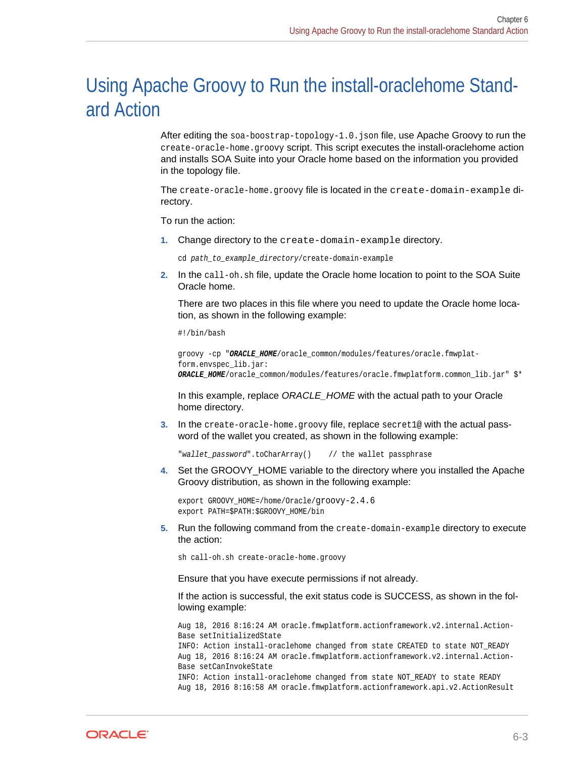# <span id="page-32-0"></span>Using Apache Groovy to Run the install-oraclehome Stand‐ ard Action

After editing the soa-boostrap-topology-1.0.json file, use Apache Groovy to run the create-oracle-home.groovy script. This script executes the install-oraclehome action and installs SOA Suite into your Oracle home based on the information you provided in the topology file.

The create-oracle-home.groovy file is located in the create-domain-example directory.

To run the action:

**1.** Change directory to the create-domain-example directory.

cd path\_to\_example\_directory/create-domain-example

**2.** In the call-oh.sh file, update the Oracle home location to point to the SOA Suite Oracle home.

There are two places in this file where you need to update the Oracle home loca‐ tion, as shown in the following example:

#!/bin/bash

```
groovy -cp "ORACLE_HOME/oracle_common/modules/features/oracle.fmwplat-
form.envspec_lib.jar:
ORACLE_HOME/oracle_common/modules/features/oracle.fmwplatform.common_lib.jar" $*
```
In this example, replace *ORACLE\_HOME* with the actual path to your Oracle home directory.

**3.** In the create-oracle-home.groovy file, replace secret1@ with the actual password of the wallet you created, as shown in the following example:

"wallet\_password".toCharArray() // the wallet passphrase

**4.** Set the GROOVY\_HOME variable to the directory where you installed the Apache Groovy distribution, as shown in the following example:

export GROOVY HOME=/home/Oracle/groovy-2.4.6 export PATH=\$PATH:\$GROOVY\_HOME/bin

**5.** Run the following command from the create-domain-example directory to execute the action:

sh call-oh.sh create-oracle-home.groovy

Ensure that you have execute permissions if not already.

If the action is successful, the exit status code is SUCCESS, as shown in the fol‐ lowing example:

Aug 18, 2016 8:16:24 AM oracle.fmwplatform.actionframework.v2.internal.Action-Base setInitializedState INFO: Action install-oraclehome changed from state CREATED to state NOT\_READY

Aug 18, 2016 8:16:24 AM oracle.fmwplatform.actionframework.v2.internal.Action-Base setCanInvokeState

INFO: Action install-oraclehome changed from state NOT\_READY to state READY Aug 18, 2016 8:16:58 AM oracle.fmwplatform.actionframework.api.v2.ActionResult

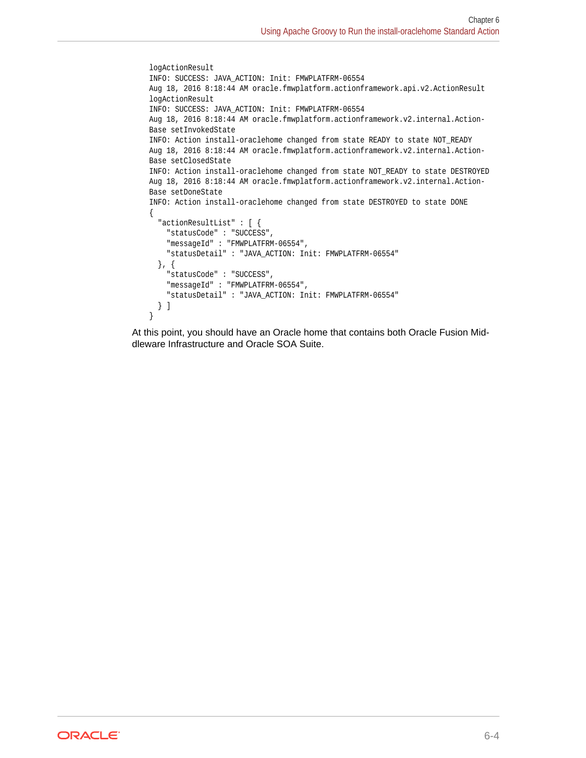```
logActionResult
INFO: SUCCESS: JAVA_ACTION: Init: FMWPLATFRM-06554
Aug 18, 2016 8:18:44 AM oracle.fmwplatform.actionframework.api.v2.ActionResult 
logActionResult
INFO: SUCCESS: JAVA_ACTION: Init: FMWPLATFRM-06554
Aug 18, 2016 8:18:44 AM oracle.fmwplatform.actionframework.v2.internal.Action-
Base setInvokedState
INFO: Action install-oraclehome changed from state READY to state NOT_READY
Aug 18, 2016 8:18:44 AM oracle.fmwplatform.actionframework.v2.internal.Action-
Base setClosedState
INFO: Action install-oraclehome changed from state NOT_READY to state DESTROYED
Aug 18, 2016 8:18:44 AM oracle.fmwplatform.actionframework.v2.internal.Action-
Base setDoneState
INFO: Action install-oraclehome changed from state DESTROYED to state DONE
{
   "actionResultList" : [ {
     "statusCode" : "SUCCESS",
     "messageId" : "FMWPLATFRM-06554",
    "statusDetail" : "JAVA_ACTION: Init: FMWPLATFRM-06554"
   }, {
     "statusCode" : "SUCCESS",
     "messageId" : "FMWPLATFRM-06554",
     "statusDetail" : "JAVA_ACTION: Init: FMWPLATFRM-06554"
   } ]
}
```
At this point, you should have an Oracle home that contains both Oracle Fusion Mid‐ dleware Infrastructure and Oracle SOA Suite.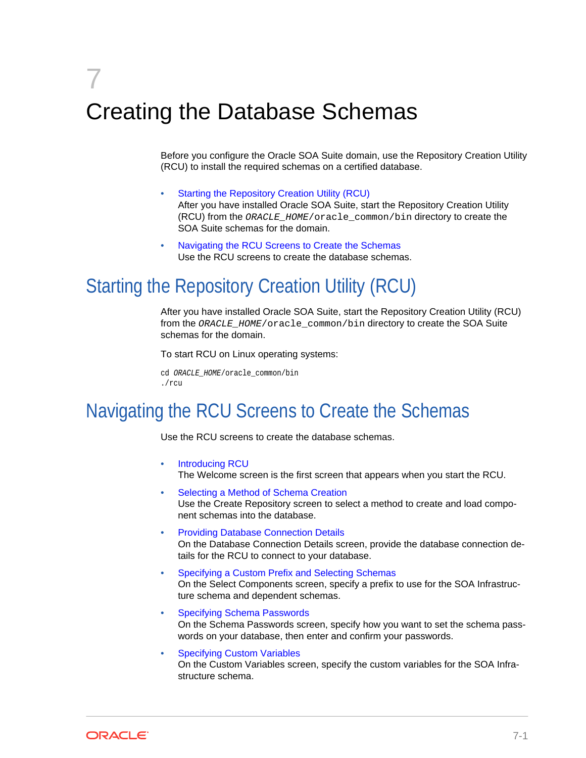# <span id="page-34-0"></span>7 Creating the Database Schemas

Before you configure the Oracle SOA Suite domain, use the Repository Creation Utility (RCU) to install the required schemas on a certified database.

- Starting the Repository Creation Utility (RCU) After you have installed Oracle SOA Suite, start the Repository Creation Utility (RCU) from the ORACLE\_HOME/oracle\_common/bin directory to create the SOA Suite schemas for the domain.
- Navigating the RCU Screens to Create the Schemas Use the RCU screens to create the database schemas.

# Starting the Repository Creation Utility (RCU)

After you have installed Oracle SOA Suite, start the Repository Creation Utility (RCU) from the ORACLE HOME/oracle common/bin directory to create the SOA Suite schemas for the domain.

To start RCU on Linux operating systems:

```
cd ORACLE_HOME/oracle_common/bin
./rcu
```
# Navigating the RCU Screens to Create the Schemas

Use the RCU screens to create the database schemas.

- [Introducing RCU](#page-35-0) The Welcome screen is the first screen that appears when you start the RCU.
- [Selecting a Method of Schema Creation](#page-35-0) Use the Create Repository screen to select a method to create and load compo‐ nent schemas into the database.
- [Providing Database Connection Details](#page-35-0) On the Database Connection Details screen, provide the database connection de‐ tails for the RCU to connect to your database.
- [Specifying a Custom Prefix and Selecting Schemas](#page-35-0) On the Select Components screen, specify a prefix to use for the SOA Infrastruc‐ ture schema and dependent schemas.
- [Specifying Schema Passwords](#page-36-0) On the Schema Passwords screen, specify how you want to set the schema pass‐ words on your database, then enter and confirm your passwords.
- **[Specifying Custom Variables](#page-37-0)** On the Custom Variables screen, specify the custom variables for the SOA Infra‐ structure schema.

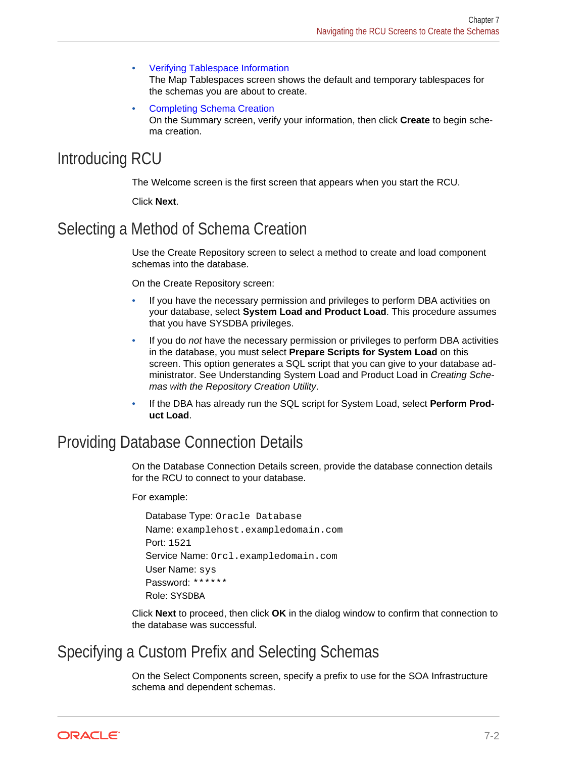- <span id="page-35-0"></span>• [Verifying Tablespace Information](#page-37-0) The Map Tablespaces screen shows the default and temporary tablespaces for the schemas you are about to create.
- [Completing Schema Creation](#page-37-0) On the Summary screen, verify your information, then click **Create** to begin sche‐ ma creation.

### Introducing RCU

The Welcome screen is the first screen that appears when you start the RCU.

Click **Next**.

### Selecting a Method of Schema Creation

Use the Create Repository screen to select a method to create and load component schemas into the database.

On the Create Repository screen:

- If you have the necessary permission and privileges to perform DBA activities on your database, select **System Load and Product Load**. This procedure assumes that you have SYSDBA privileges.
- If you do *not* have the necessary permission or privileges to perform DBA activities in the database, you must select **Prepare Scripts for System Load** on this screen. This option generates a SQL script that you can give to your database ad‐ ministrator. See Understanding System Load and Product Load in *Creating Sche‐ mas with the Repository Creation Utility*.
- If the DBA has already run the SQL script for System Load, select **Perform Prod‐ uct Load**.

#### Providing Database Connection Details

On the Database Connection Details screen, provide the database connection details for the RCU to connect to your database.

For example:

```
Database Type: Oracle Database
Name: examplehost.exampledomain.com
Port: 1521
Service Name: Orcl.exampledomain.com
User Name: sys
Password: ******
Role: SYSDBA
```
Click **Next** to proceed, then click **OK** in the dialog window to confirm that connection to the database was successful.

#### Specifying a Custom Prefix and Selecting Schemas

On the Select Components screen, specify a prefix to use for the SOA Infrastructure schema and dependent schemas.

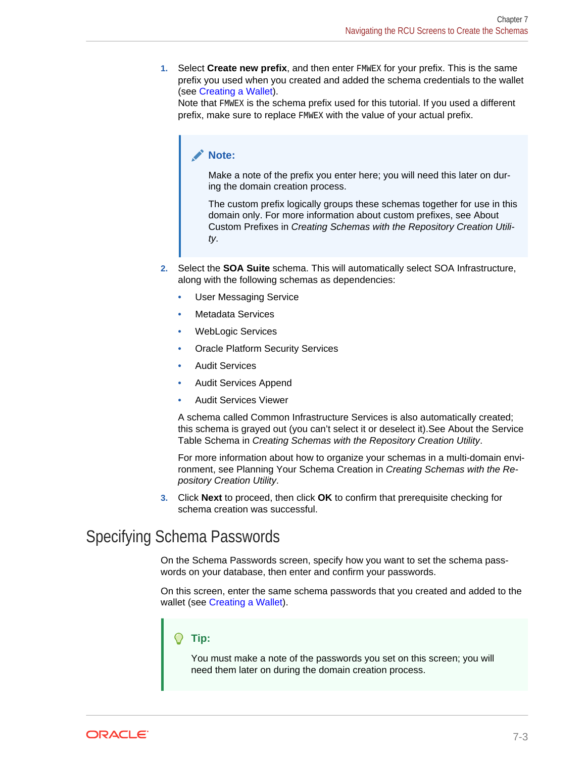<span id="page-36-0"></span>**1.** Select **Create new prefix**, and then enter FMWEX for your prefix. This is the same prefix you used when you created and added the schema credentials to the wallet (see [Creating a Wallet\)](#page-26-0).

Note that FMWEX is the schema prefix used for this tutorial. If you used a different prefix, make sure to replace FMWEX with the value of your actual prefix.

#### **Note:**

Make a note of the prefix you enter here; you will need this later on dur‐ ing the domain creation process.

The custom prefix logically groups these schemas together for use in this domain only. For more information about custom prefixes, see About Custom Prefixes in *Creating Schemas with the Repository Creation Utili‐ ty*.

- **2.** Select the **SOA Suite** schema. This will automatically select SOA Infrastructure, along with the following schemas as dependencies:
	- User Messaging Service
	- Metadata Services
	- WebLogic Services
	- Oracle Platform Security Services
	- Audit Services
	- Audit Services Append
	- Audit Services Viewer

A schema called Common Infrastructure Services is also automatically created; this schema is grayed out (you can't select it or deselect it).See About the Service Table Schema in *Creating Schemas with the Repository Creation Utility*.

For more information about how to organize your schemas in a multi-domain envi‐ ronment, see Planning Your Schema Creation in *Creating Schemas with the Re‐ pository Creation Utility*.

**3.** Click **Next** to proceed, then click **OK** to confirm that prerequisite checking for schema creation was successful.

#### Specifying Schema Passwords

On the Schema Passwords screen, specify how you want to set the schema pass‐ words on your database, then enter and confirm your passwords.

On this screen, enter the same schema passwords that you created and added to the wallet (see [Creating a Wallet](#page-26-0)).

#### **Tip:**

You must make a note of the passwords you set on this screen; you will need them later on during the domain creation process.

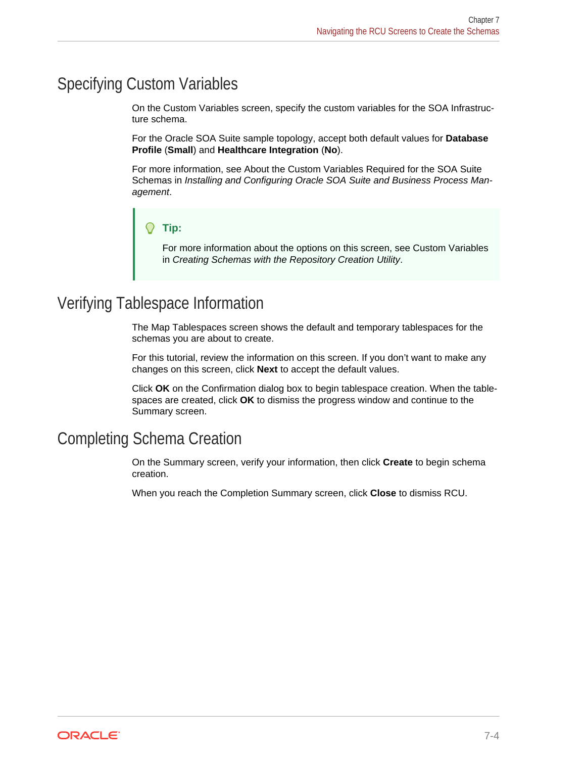#### <span id="page-37-0"></span>Specifying Custom Variables

On the Custom Variables screen, specify the custom variables for the SOA Infrastruc‐ ture schema.

For the Oracle SOA Suite sample topology, accept both default values for **Database Profile** (**Small**) and **Healthcare Integration** (**No**).

For more information, see About the Custom Variables Required for the SOA Suite Schemas in *Installing and Configuring Oracle SOA Suite and Business Process Man‐ agement*.

#### **Tip:**

For more information about the options on this screen, see Custom Variables in *Creating Schemas with the Repository Creation Utility*.

#### Verifying Tablespace Information

The Map Tablespaces screen shows the default and temporary tablespaces for the schemas you are about to create.

For this tutorial, review the information on this screen. If you don't want to make any changes on this screen, click **Next** to accept the default values.

Click **OK** on the Confirmation dialog box to begin tablespace creation. When the table‐ spaces are created, click **OK** to dismiss the progress window and continue to the Summary screen.

#### Completing Schema Creation

On the Summary screen, verify your information, then click **Create** to begin schema creation.

When you reach the Completion Summary screen, click **Close** to dismiss RCU.

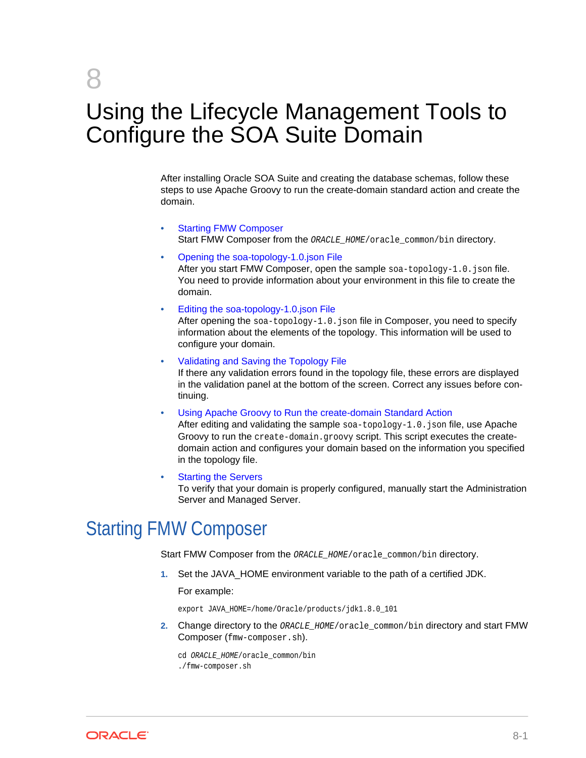# <span id="page-38-0"></span>8

# Using the Lifecycle Management Tools to Configure the SOA Suite Domain

After installing Oracle SOA Suite and creating the database schemas, follow these steps to use Apache Groovy to run the create-domain standard action and create the domain.

- **Starting FMW Composer** Start FMW Composer from the ORACLE\_HOME/oracle\_common/bin directory.
- [Opening the soa-topology-1.0.json File](#page-39-0)

After you start FMW Composer, open the sample soa-topology-1.0. json file. You need to provide information about your environment in this file to create the domain.

• [Editing the soa-topology-1.0.json File](#page-40-0)

After opening the soa-topology-1.0. json file in Composer, you need to specify information about the elements of the topology. This information will be used to configure your domain.

- [Validating and Saving the Topology File](#page-43-0) If there any validation errors found in the topology file, these errors are displayed in the validation panel at the bottom of the screen. Correct any issues before con‐ tinuing.
- [Using Apache Groovy to Run the create-domain Standard Action](#page-44-0)

After editing and validating the sample soa-topology-1.0. json file, use Apache Groovy to run the create-domain.groovy script. This script executes the createdomain action and configures your domain based on the information you specified in the topology file.

**[Starting the Servers](#page-48-0)** 

To verify that your domain is properly configured, manually start the Administration Server and Managed Server.

# Starting FMW Composer

Start FMW Composer from the ORACLE\_HOME/oracle\_common/bin directory.

**1.** Set the JAVA\_HOME environment variable to the path of a certified JDK.

For example:

export JAVA\_HOME=/home/Oracle/products/jdk1.8.0\_101

**2.** Change directory to the ORACLE\_HOME/oracle\_common/bin directory and start FMW Composer (fmw-composer.sh).

cd ORACLE\_HOME/oracle\_common/bin ./fmw-composer.sh

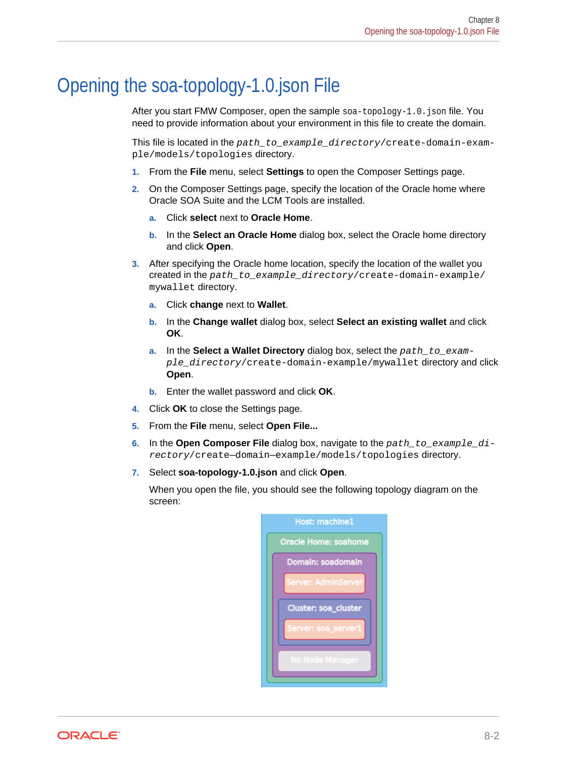## <span id="page-39-0"></span>Opening the soa-topology-1.0.json File

After you start FMW Composer, open the sample soa-topology-1.0.json file. You need to provide information about your environment in this file to create the domain.

This file is located in the path\_to\_example\_directory/create-domain-example/models/topologies directory.

- **1.** From the **File** menu, select **Settings** to open the Composer Settings page.
- **2.** On the Composer Settings page, specify the location of the Oracle home where Oracle SOA Suite and the LCM Tools are installed.
	- **a.** Click **select** next to **Oracle Home**.
	- **b.** In the **Select an Oracle Home** dialog box, select the Oracle home directory and click **Open**.
- **3.** After specifying the Oracle home location, specify the location of the wallet you created in the path to example directory/create-domain-example/ mywallet directory.
	- **a.** Click **change** next to **Wallet**.
	- **b.** In the **Change wallet** dialog box, select **Select an existing wallet** and click **OK**.
	- **a.** In the **Select a Wallet Directory** dialog box, select the path to example\_directory/create-domain-example/mywallet directory and click **Open**.
	- **b.** Enter the wallet password and click **OK**.
- **4.** Click **OK** to close the Settings page.
- **5.** From the **File** menu, select **Open File...**
- **6.** In the **Open Composer File** dialog box, navigate to the path\_to\_example\_directory/create—domain—example/models/topologies directory.
- **7.** Select **soa-topology-1.0.json** and click **Open**.

When you open the file, you should see the following topology diagram on the screen:

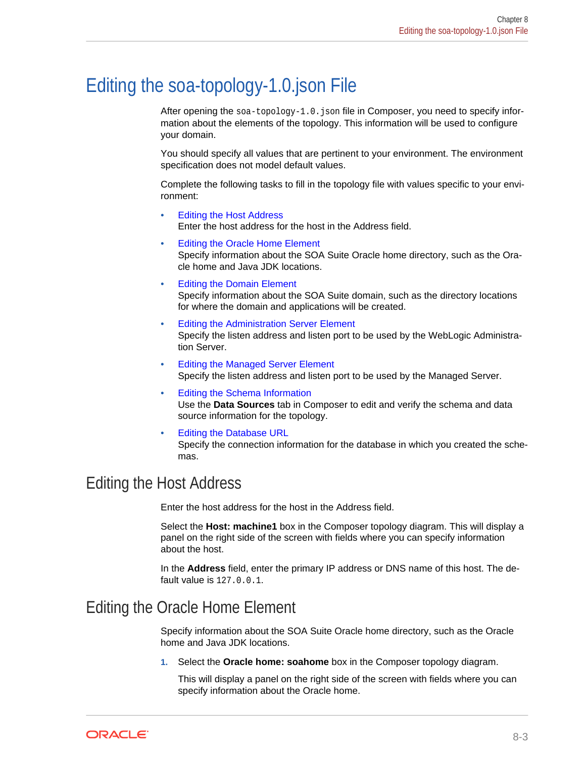# <span id="page-40-0"></span>Editing the soa-topology-1.0.json File

After opening the soa-topology-1.0. json file in Composer, you need to specify information about the elements of the topology. This information will be used to configure your domain.

You should specify all values that are pertinent to your environment. The environment specification does not model default values.

Complete the following tasks to fill in the topology file with values specific to your envi‐ ronment:

- Editing the Host Address Enter the host address for the host in the Address field.
- Editing the Oracle Home Element Specify information about the SOA Suite Oracle home directory, such as the Ora‐ cle home and Java JDK locations.
- [Editing the Domain Element](#page-41-0) Specify information about the SOA Suite domain, such as the directory locations for where the domain and applications will be created.
- [Editing the Administration Server Element](#page-42-0) Specify the listen address and listen port to be used by the WebLogic Administra‐ tion Server.
- [Editing the Managed Server Element](#page-42-0) Specify the listen address and listen port to be used by the Managed Server.
- [Editing the Schema Information](#page-42-0) Use the **Data Sources** tab in Composer to edit and verify the schema and data source information for the topology.
- [Editing the Database URL](#page-43-0) Specify the connection information for the database in which you created the sche‐ mas.

#### Editing the Host Address

Enter the host address for the host in the Address field.

Select the **Host: machine1** box in the Composer topology diagram. This will display a panel on the right side of the screen with fields where you can specify information about the host.

In the **Address** field, enter the primary IP address or DNS name of this host. The de‐ fault value is 127.0.0.1.

#### Editing the Oracle Home Element

Specify information about the SOA Suite Oracle home directory, such as the Oracle home and Java JDK locations.

**1.** Select the **Oracle home: soahome** box in the Composer topology diagram.

This will display a panel on the right side of the screen with fields where you can specify information about the Oracle home.

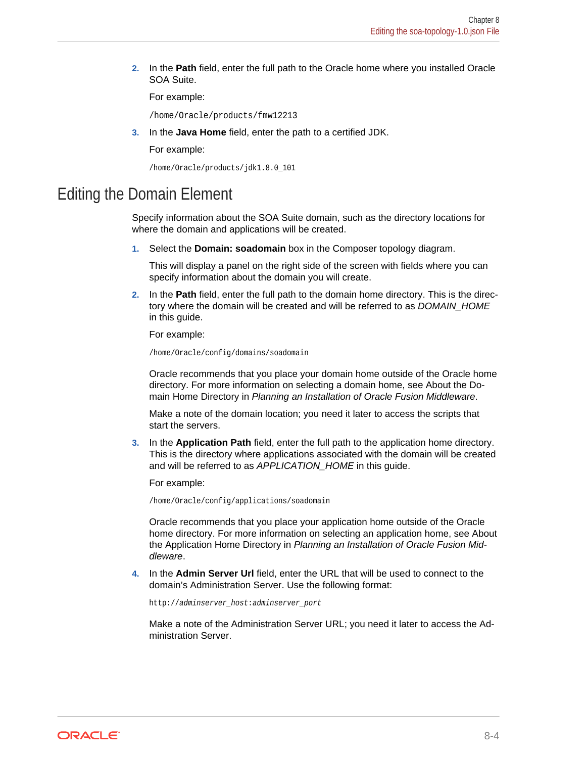<span id="page-41-0"></span>**2.** In the **Path** field, enter the full path to the Oracle home where you installed Oracle SOA Suite.

For example:

/home/Oracle/products/fmw12213

**3.** In the **Java Home** field, enter the path to a certified JDK.

For example:

```
/home/Oracle/products/jdk1.8.0_101
```
#### Editing the Domain Element

Specify information about the SOA Suite domain, such as the directory locations for where the domain and applications will be created.

**1.** Select the **Domain: soadomain** box in the Composer topology diagram.

This will display a panel on the right side of the screen with fields where you can specify information about the domain you will create.

**2.** In the **Path** field, enter the full path to the domain home directory. This is the direc‐ tory where the domain will be created and will be referred to as *DOMAIN\_HOME* in this guide.

For example:

/home/Oracle/config/domains/soadomain

Oracle recommends that you place your domain home outside of the Oracle home directory. For more information on selecting a domain home, see About the Do‐ main Home Directory in *Planning an Installation of Oracle Fusion Middleware*.

Make a note of the domain location; you need it later to access the scripts that start the servers.

**3.** In the **Application Path** field, enter the full path to the application home directory. This is the directory where applications associated with the domain will be created and will be referred to as *APPLICATION\_HOME* in this guide.

For example:

/home/Oracle/config/applications/soadomain

Oracle recommends that you place your application home outside of the Oracle home directory. For more information on selecting an application home, see About the Application Home Directory in *Planning an Installation of Oracle Fusion Mid‐ dleware*.

**4.** In the **Admin Server Url** field, enter the URL that will be used to connect to the domain's Administration Server. Use the following format:

http://adminserver\_host:adminserver\_port

Make a note of the Administration Server URL; you need it later to access the Ad‐ ministration Server.

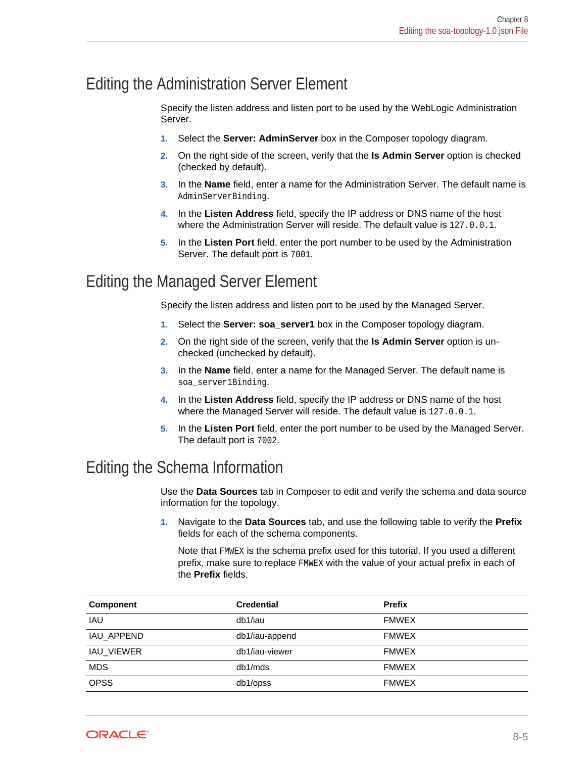#### <span id="page-42-0"></span>Editing the Administration Server Element

Specify the listen address and listen port to be used by the WebLogic Administration Server.

- **1.** Select the **Server: AdminServer** box in the Composer topology diagram.
- **2.** On the right side of the screen, verify that the **Is Admin Server** option is checked (checked by default).
- **3.** In the **Name** field, enter a name for the Administration Server. The default name is AdminServerBinding.
- **4.** In the **Listen Address** field, specify the IP address or DNS name of the host where the Administration Server will reside. The default value is 127.0.0.1.
- **5.** In the **Listen Port** field, enter the port number to be used by the Administration Server. The default port is 7001.

### Editing the Managed Server Element

Specify the listen address and listen port to be used by the Managed Server.

- **1.** Select the **Server: soa\_server1** box in the Composer topology diagram.
- **2.** On the right side of the screen, verify that the **Is Admin Server** option is un‐ checked (unchecked by default).
- **3.** In the **Name** field, enter a name for the Managed Server. The default name is soa\_server1Binding.
- **4.** In the **Listen Address** field, specify the IP address or DNS name of the host where the Managed Server will reside. The default value is 127.0.0.1.
- **5.** In the **Listen Port** field, enter the port number to be used by the Managed Server. The default port is 7002.

#### Editing the Schema Information

Use the **Data Sources** tab in Composer to edit and verify the schema and data source information for the topology.

**1.** Navigate to the **Data Sources** tab, and use the following table to verify the **Prefix** fields for each of the schema components.

Note that FMWEX is the schema prefix used for this tutorial. If you used a different prefix, make sure to replace FMWEX with the value of your actual prefix in each of the **Prefix** fields.

| Component         | <b>Credential</b> | <b>Prefix</b> |
|-------------------|-------------------|---------------|
| <b>IAU</b>        | db1/iau           | <b>FMWEX</b>  |
| IAU APPEND        | db1/iau-append    | <b>FMWEX</b>  |
| <b>IAU VIEWER</b> | db1/iau-viewer    | <b>FMWEX</b>  |
| <b>MDS</b>        | db1/mds           | <b>FMWEX</b>  |
| <b>OPSS</b>       | db1/opss          | <b>FMWEX</b>  |

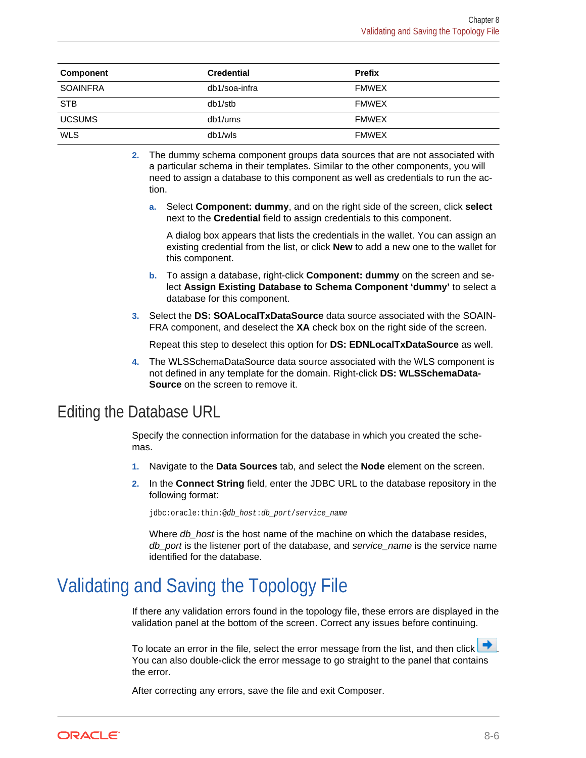<span id="page-43-0"></span>

| Component       | <b>Credential</b> | <b>Prefix</b> |
|-----------------|-------------------|---------------|
| <b>SOAINFRA</b> | db1/soa-infra     | <b>FMWEX</b>  |
| <b>STB</b>      | db1/stb           | <b>FMWEX</b>  |
| <b>UCSUMS</b>   | db1/ums           | <b>FMWEX</b>  |
| <b>WLS</b>      | db1/wls           | <b>FMWEX</b>  |

- **2.** The dummy schema component groups data sources that are not associated with a particular schema in their templates. Similar to the other components, you will need to assign a database to this component as well as credentials to run the ac‐ tion.
	- **a.** Select **Component: dummy**, and on the right side of the screen, click **select** next to the **Credential** field to assign credentials to this component.

A dialog box appears that lists the credentials in the wallet. You can assign an existing credential from the list, or click **New** to add a new one to the wallet for this component.

- **b.** To assign a database, right-click **Component: dummy** on the screen and se‐ lect **Assign Existing Database to Schema Component 'dummy'** to select a database for this component.
- **3.** Select the **DS: SOALocalTxDataSource** data source associated with the SOAIN‐ FRA component, and deselect the **XA** check box on the right side of the screen.

Repeat this step to deselect this option for **DS: EDNLocalTxDataSource** as well.

**4.** The WLSSchemaDataSource data source associated with the WLS component is not defined in any template for the domain. Right-click **DS: WLSSchemaData‐ Source** on the screen to remove it.

#### Editing the Database URL

Specify the connection information for the database in which you created the sche‐ mas.

- **1.** Navigate to the **Data Sources** tab, and select the **Node** element on the screen.
- **2.** In the **Connect String** field, enter the JDBC URL to the database repository in the following format:

jdbc:oracle:thin:@db\_host:db\_port/service\_name

Where *db\_host* is the host name of the machine on which the database resides, *db\_port* is the listener port of the database, and *service\_name* is the service name identified for the database.

# Validating and Saving the Topology File

If there any validation errors found in the topology file, these errors are displayed in the validation panel at the bottom of the screen. Correct any issues before continuing.

To locate an error in the file, select the error message from the list, and then click  $\blacksquare$ You can also double-click the error message to go straight to the panel that contains the error.

After correcting any errors, save the file and exit Composer.

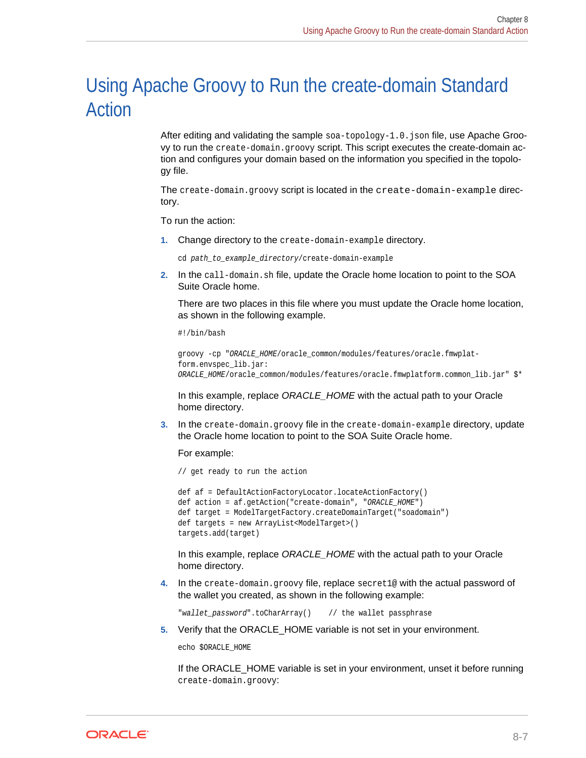# <span id="page-44-0"></span>Using Apache Groovy to Run the create-domain Standard Action

After editing and validating the sample soa-topology-1.0.json file, use Apache Groovy to run the create-domain.groovy script. This script executes the create-domain ac‐ tion and configures your domain based on the information you specified in the topolo‐ gy file.

The create-domain.groovy script is located in the create-domain-example directory.

To run the action:

**1.** Change directory to the create-domain-example directory.

cd path\_to\_example\_directory/create-domain-example

**2.** In the call-domain.sh file, update the Oracle home location to point to the SOA Suite Oracle home.

There are two places in this file where you must update the Oracle home location, as shown in the following example.

#!/bin/bash

```
groovy -cp "ORACLE_HOME/oracle_common/modules/features/oracle.fmwplat-
form.envspec_lib.jar:
ORACLE_HOME/oracle_common/modules/features/oracle.fmwplatform.common_lib.jar" $*
```
In this example, replace *ORACLE\_HOME* with the actual path to your Oracle home directory.

**3.** In the create-domain.groovy file in the create-domain-example directory, update the Oracle home location to point to the SOA Suite Oracle home.

For example:

// get ready to run the action

```
def af = DefaultActionFactoryLocator.locateActionFactory()
def action = af.getAction("create-domain", "ORACLE_HOME")
def target = ModelTargetFactory.createDomainTarget("soadomain")
def targets = new ArrayList<ModelTarget>()
targets.add(target)
```
In this example, replace *ORACLE\_HOME* with the actual path to your Oracle home directory.

**4.** In the create-domain.groovy file, replace secret1@ with the actual password of the wallet you created, as shown in the following example:

"wallet\_password".toCharArray() // the wallet passphrase

**5.** Verify that the ORACLE\_HOME variable is not set in your environment.

echo \$ORACLE\_HOME

If the ORACLE\_HOME variable is set in your environment, unset it before running create-domain.groovy:

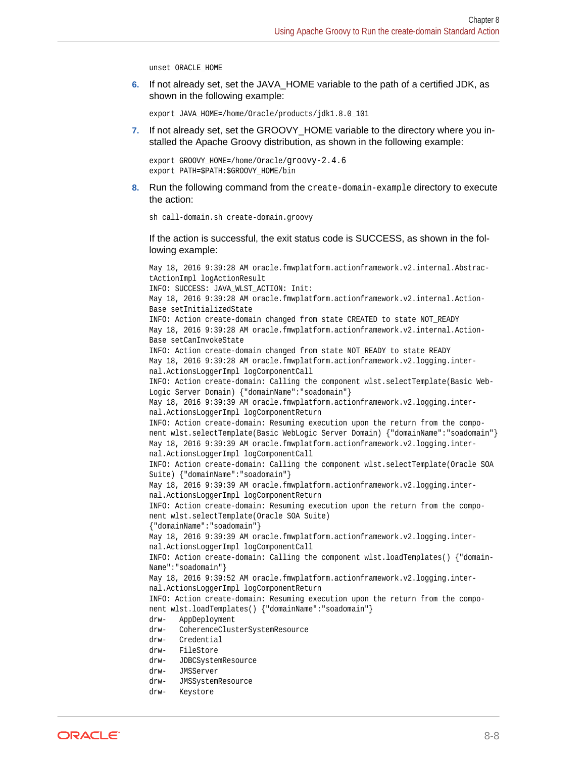unset ORACLE\_HOME

**6.** If not already set, set the JAVA\_HOME variable to the path of a certified JDK, as shown in the following example:

```
export JAVA_HOME=/home/Oracle/products/jdk1.8.0_101
```
**7.** If not already set, set the GROOVY\_HOME variable to the directory where you installed the Apache Groovy distribution, as shown in the following example:

```
export GROOVY_HOME=/home/Oracle/groovy-2.4.6
export PATH=$PATH:$GROOVY_HOME/bin
```
**8.** Run the following command from the create-domain-example directory to execute the action:

sh call-domain.sh create-domain.groovy

If the action is successful, the exit status code is SUCCESS, as shown in the fol‐ lowing example:

May 18, 2016 9:39:28 AM oracle.fmwplatform.actionframework.v2.internal.AbstractActionImpl logActionResult INFO: SUCCESS: JAVA\_WLST\_ACTION: Init: May 18, 2016 9:39:28 AM oracle.fmwplatform.actionframework.v2.internal.Action-Base setInitializedState INFO: Action create-domain changed from state CREATED to state NOT\_READY May 18, 2016 9:39:28 AM oracle.fmwplatform.actionframework.v2.internal.Action-Base setCanInvokeState INFO: Action create-domain changed from state NOT\_READY to state READY May 18, 2016 9:39:28 AM oracle.fmwplatform.actionframework.v2.logging.internal.ActionsLoggerImpl logComponentCall INFO: Action create-domain: Calling the component wlst.selectTemplate(Basic Web-Logic Server Domain) {"domainName":"soadomain"} May 18, 2016 9:39:39 AM oracle.fmwplatform.actionframework.v2.logging.internal.ActionsLoggerImpl logComponentReturn INFO: Action create-domain: Resuming execution upon the return from the component wlst.selectTemplate(Basic WebLogic Server Domain) {"domainName":"soadomain"} May 18, 2016 9:39:39 AM oracle.fmwplatform.actionframework.v2.logging.internal.ActionsLoggerImpl logComponentCall INFO: Action create-domain: Calling the component wlst.selectTemplate(Oracle SOA Suite) {"domainName":"soadomain"} May 18, 2016 9:39:39 AM oracle.fmwplatform.actionframework.v2.logging.internal.ActionsLoggerImpl logComponentReturn INFO: Action create-domain: Resuming execution upon the return from the component wlst.selectTemplate(Oracle SOA Suite) {"domainName":"soadomain"} May 18, 2016 9:39:39 AM oracle.fmwplatform.actionframework.v2.logging.internal.ActionsLoggerImpl logComponentCall INFO: Action create-domain: Calling the component wlst.loadTemplates() {"domain-Name":"soadomain"} May 18, 2016 9:39:52 AM oracle.fmwplatform.actionframework.v2.logging.internal.ActionsLoggerImpl logComponentReturn INFO: Action create-domain: Resuming execution upon the return from the component wlst.loadTemplates() {"domainName":"soadomain"} drw- AppDeployment drw- CoherenceClusterSystemResource drw- Credential drw- FileStore drw- JDBCSystemResource drw- JMSServer drw- JMSSystemResource

drw- Keystore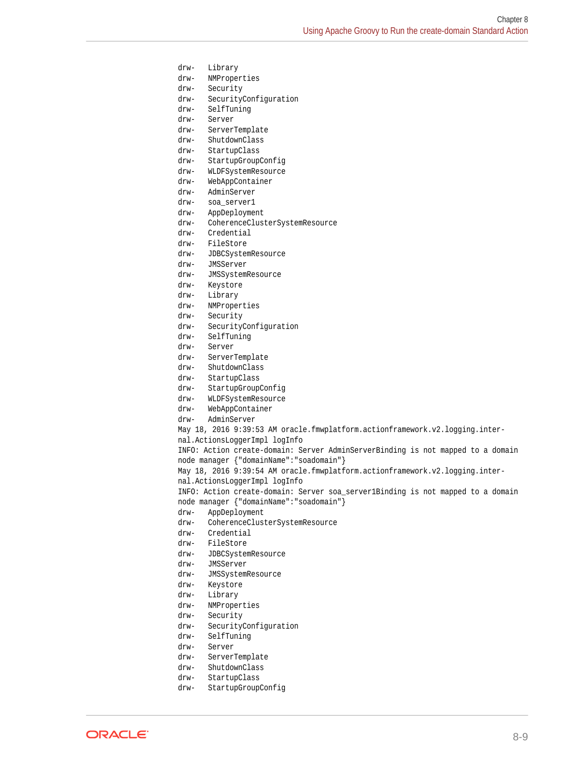drw- Library drw- NMProperties drw- Security drw- SecurityConfiguration drw- SelfTuning drw- Server drw- ServerTemplate drw- ShutdownClass drw- StartupClass drw- StartupGroupConfig drw- WLDFSystemResource drw- WebAppContainer drw- AdminServer drw- soa\_server1 drw- AppDeployment drw- CoherenceClusterSystemResource drw- Credential drw- FileStore drw- JDBCSystemResource drw- JMSServer drw- JMSSystemResource drw- Keystore drw- Library drw- NMProperties drw- Security drw- SecurityConfiguration drw- SelfTuning drw- Server drw- ServerTemplate drw- ShutdownClass drw- StartupClass drw- StartupGroupConfig drw- WLDFSystemResource drw- WebAppContainer drw- AdminServer May 18, 2016 9:39:53 AM oracle.fmwplatform.actionframework.v2.logging.internal.ActionsLoggerImpl logInfo INFO: Action create-domain: Server AdminServerBinding is not mapped to a domain node manager {"domainName":"soadomain"} May 18, 2016 9:39:54 AM oracle.fmwplatform.actionframework.v2.logging.internal.ActionsLoggerImpl logInfo INFO: Action create-domain: Server soa\_server1Binding is not mapped to a domain node manager {"domainName":"soadomain"} drw- AppDeployment drw- CoherenceClusterSystemResource drw- Credential drw- FileStore drw- JDBCSystemResource drw- JMSServer drw- JMSSystemResource drw- Keystore drw- Library drw- NMProperties drw- Security drw- SecurityConfiguration drw- SelfTuning drw- Server drw- ServerTemplate drw- ShutdownClass drw- StartupClass drw- StartupGroupConfig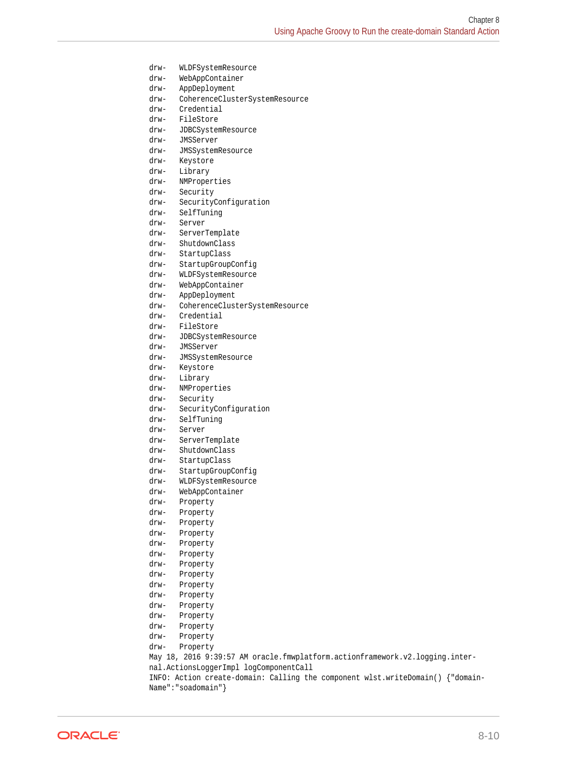```
drw- WLDFSystemResource
drw- WebAppContainer
drw- AppDeployment
drw- CoherenceClusterSystemResource
drw- Credential
drw- FileStore
drw- JDBCSystemResource
drw- JMSServer
drw- JMSSystemResource
drw- Keystore
drw- Library
drw- NMProperties
drw- Security
drw- SecurityConfiguration
drw- SelfTuning
drw- Server
drw- ServerTemplate
drw- ShutdownClass
drw- StartupClass
drw- StartupGroupConfig
drw- WLDFSystemResource
drw- WebAppContainer
drw- AppDeployment
drw- CoherenceClusterSystemResource
drw- Credential
drw- FileStore
drw- JDBCSystemResource
drw- JMSServer
drw- JMSSystemResource
drw- Keystore
drw- Library
drw- NMProperties
drw- Security
drw- SecurityConfiguration
drw- SelfTuning
drw- Server
drw- ServerTemplate
drw- ShutdownClass
drw- StartupClass
drw- StartupGroupConfig
drw- WLDFSystemResource
drw- WebAppContainer
drw- Property
drw- Property
drw- Property
drw- Property
drw- Property
drw- Property
drw- Property
drw- Property
drw- Property
drw- Property
drw- Property
drw- Property
drw- Property
drw- Property
drw- Property
May 18, 2016 9:39:57 AM oracle.fmwplatform.actionframework.v2.logging.inter-
nal.ActionsLoggerImpl logComponentCall
INFO: Action create-domain: Calling the component wlst.writeDomain() {"domain-
Name":"soadomain"}
```
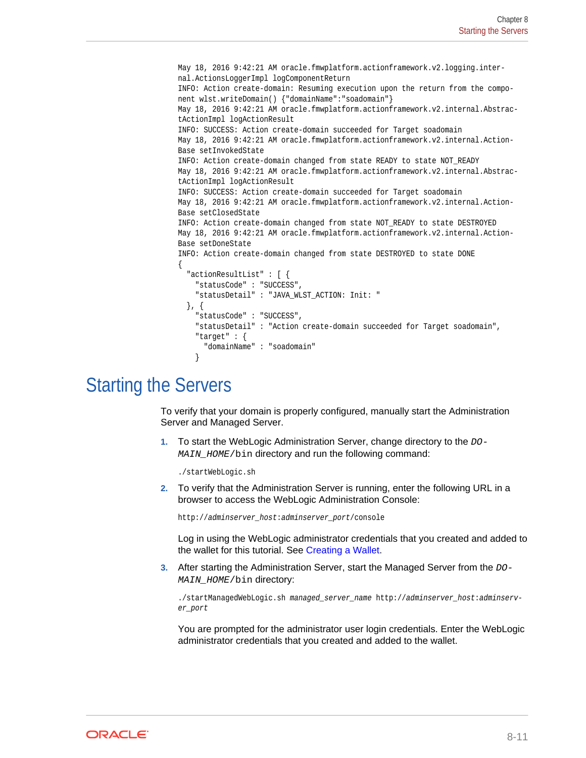```
May 18, 2016 9:42:21 AM oracle.fmwplatform.actionframework.v2.logging.inter-
nal.ActionsLoggerImpl logComponentReturn
INFO: Action create-domain: Resuming execution upon the return from the compo-
nent wlst.writeDomain() {"domainName":"soadomain"}
May 18, 2016 9:42:21 AM oracle.fmwplatform.actionframework.v2.internal.Abstrac-
tActionImpl logActionResult
INFO: SUCCESS: Action create-domain succeeded for Target soadomain
May 18, 2016 9:42:21 AM oracle.fmwplatform.actionframework.v2.internal.Action-
Base setInvokedState
INFO: Action create-domain changed from state READY to state NOT_READY
May 18, 2016 9:42:21 AM oracle.fmwplatform.actionframework.v2.internal.Abstrac-
tActionImpl logActionResult
INFO: SUCCESS: Action create-domain succeeded for Target soadomain
May 18, 2016 9:42:21 AM oracle.fmwplatform.actionframework.v2.internal.Action-
Base setClosedState
INFO: Action create-domain changed from state NOT_READY to state DESTROYED
May 18, 2016 9:42:21 AM oracle.fmwplatform.actionframework.v2.internal.Action-
Base setDoneState
INFO: Action create-domain changed from state DESTROYED to state DONE
{
   "actionResultList" : [ {
     "statusCode" : "SUCCESS",
     "statusDetail" : "JAVA_WLST_ACTION: Init: "
   }, {
     "statusCode" : "SUCCESS",
     "statusDetail" : "Action create-domain succeeded for Target soadomain",
     "target" : {
       "domainName" : "soadomain"
\left\{\begin{array}{ccc} \end{array}\right\}
```
## Starting the Servers

To verify that your domain is properly configured, manually start the Administration Server and Managed Server.

**1.** To start the WebLogic Administration Server, change directory to the DO-MAIN\_HOME/bin directory and run the following command:

./startWebLogic.sh

**2.** To verify that the Administration Server is running, enter the following URL in a browser to access the WebLogic Administration Console:

http://adminserver\_host:adminserver\_port/console

Log in using the WebLogic administrator credentials that you created and added to the wallet for this tutorial. See [Creating a Wallet.](#page-26-0)

**3.** After starting the Administration Server, start the Managed Server from the  $DO-$ MAIN\_HOME/bin directory:

./startManagedWebLogic.sh managed\_server\_name http://adminserver\_host:adminserver\_port

You are prompted for the administrator user login credentials. Enter the WebLogic administrator credentials that you created and added to the wallet.

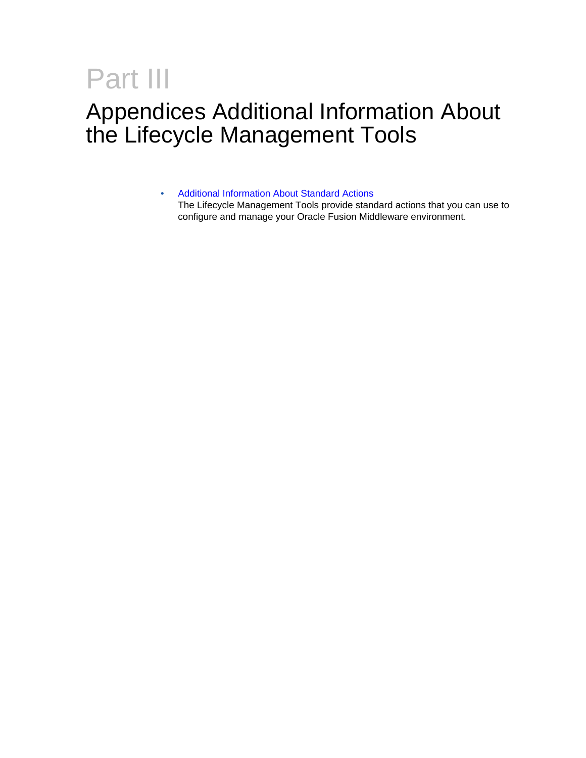# <span id="page-49-0"></span>Part III

# Appendices Additional Information About the Lifecycle Management Tools

• [Additional Information About Standard Actions](#page-50-0) The Lifecycle Management Tools provide standard actions that you can use to configure and manage your Oracle Fusion Middleware environment.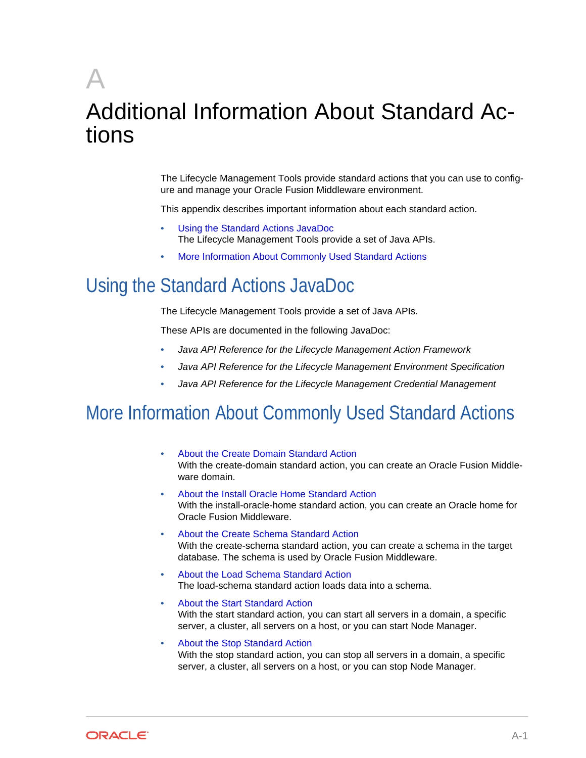# <span id="page-50-0"></span>A Additional Information About Standard Ac‐ tions

The Lifecycle Management Tools provide standard actions that you can use to config‐ ure and manage your Oracle Fusion Middleware environment.

This appendix describes important information about each standard action.

- Using the Standard Actions JavaDoc The Lifecycle Management Tools provide a set of Java APIs.
- More Information About Commonly Used Standard Actions

# Using the Standard Actions JavaDoc

The Lifecycle Management Tools provide a set of Java APIs.

These APIs are documented in the following JavaDoc:

- *Java API Reference for the Lifecycle Management Action Framework*
- *Java API Reference for the Lifecycle Management Environment Specification*
- *Java API Reference for the Lifecycle Management Credential Management*

# More Information About Commonly Used Standard Actions

- [About the Create Domain Standard Action](#page-51-0) With the create-domain standard action, you can create an Oracle Fusion Middle‐ ware domain.
- [About the Install Oracle Home Standard Action](#page-51-0) With the install-oracle-home standard action, you can create an Oracle home for Oracle Fusion Middleware.
- [About the Create Schema Standard Action](#page-51-0) With the create-schema standard action, you can create a schema in the target database. The schema is used by Oracle Fusion Middleware.
- [About the Load Schema Standard Action](#page-51-0) The load-schema standard action loads data into a schema.
- [About the Start Standard Action](#page-51-0) With the start standard action, you can start all servers in a domain, a specific server, a cluster, all servers on a host, or you can start Node Manager.
- [About the Stop Standard Action](#page-52-0) With the stop standard action, you can stop all servers in a domain, a specific server, a cluster, all servers on a host, or you can stop Node Manager.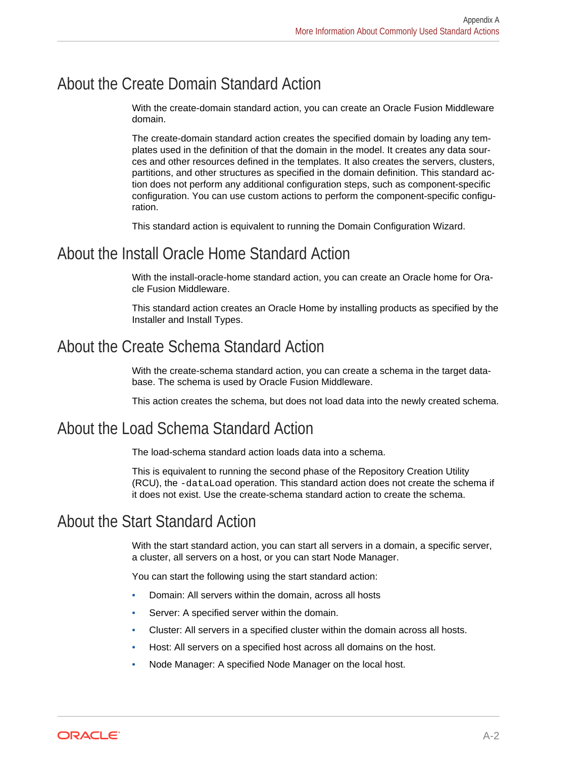### <span id="page-51-0"></span>About the Create Domain Standard Action

With the create-domain standard action, you can create an Oracle Fusion Middleware domain.

The create-domain standard action creates the specified domain by loading any tem‐ plates used in the definition of that the domain in the model. It creates any data sour‐ ces and other resources defined in the templates. It also creates the servers, clusters, partitions, and other structures as specified in the domain definition. This standard ac‐ tion does not perform any additional configuration steps, such as component-specific configuration. You can use custom actions to perform the component-specific configuration.

This standard action is equivalent to running the Domain Configuration Wizard.

#### About the Install Oracle Home Standard Action

With the install-oracle-home standard action, you can create an Oracle home for Ora‐ cle Fusion Middleware.

This standard action creates an Oracle Home by installing products as specified by the Installer and Install Types.

#### About the Create Schema Standard Action

With the create-schema standard action, you can create a schema in the target database. The schema is used by Oracle Fusion Middleware.

This action creates the schema, but does not load data into the newly created schema.

#### About the Load Schema Standard Action

The load-schema standard action loads data into a schema.

This is equivalent to running the second phase of the Repository Creation Utility (RCU), the -dataLoad operation. This standard action does not create the schema if it does not exist. Use the create-schema standard action to create the schema.

#### About the Start Standard Action

With the start standard action, you can start all servers in a domain, a specific server, a cluster, all servers on a host, or you can start Node Manager.

You can start the following using the start standard action:

- Domain: All servers within the domain, across all hosts
- Server: A specified server within the domain.
- Cluster: All servers in a specified cluster within the domain across all hosts.
- Host: All servers on a specified host across all domains on the host.
- Node Manager: A specified Node Manager on the local host.